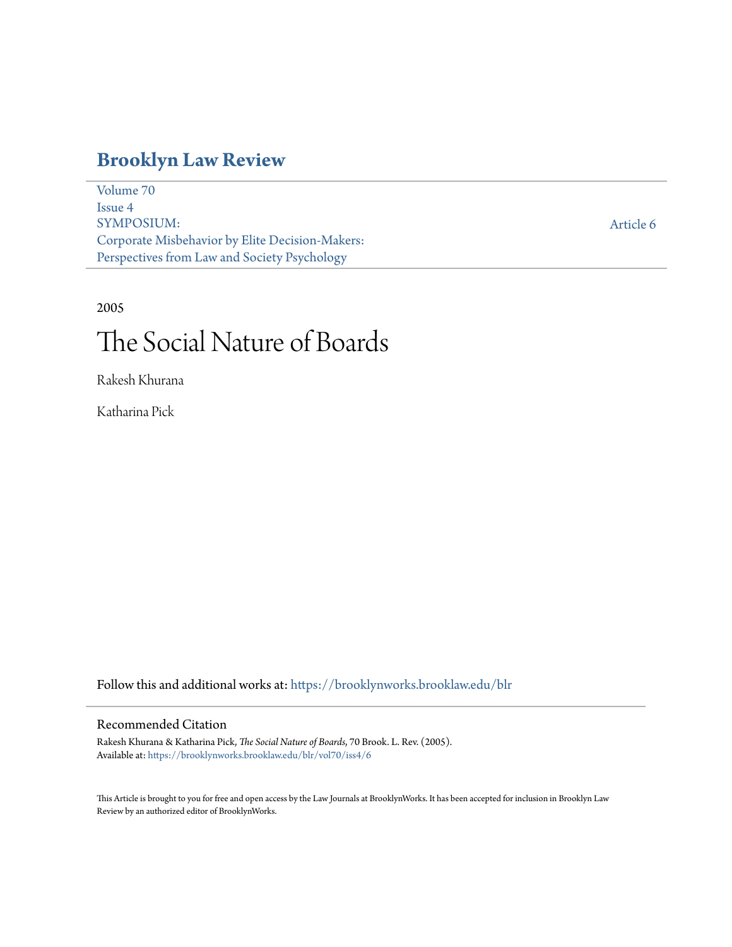# **[Brooklyn Law Review](https://brooklynworks.brooklaw.edu/blr?utm_source=brooklynworks.brooklaw.edu%2Fblr%2Fvol70%2Fiss4%2F6&utm_medium=PDF&utm_campaign=PDFCoverPages)**

[Volume 70](https://brooklynworks.brooklaw.edu/blr/vol70?utm_source=brooklynworks.brooklaw.edu%2Fblr%2Fvol70%2Fiss4%2F6&utm_medium=PDF&utm_campaign=PDFCoverPages) [Issue 4](https://brooklynworks.brooklaw.edu/blr/vol70/iss4?utm_source=brooklynworks.brooklaw.edu%2Fblr%2Fvol70%2Fiss4%2F6&utm_medium=PDF&utm_campaign=PDFCoverPages) SYMPOSIUM: Corporate Misbehavior by Elite Decision-Makers: Perspectives from Law and Society Psychology

[Article 6](https://brooklynworks.brooklaw.edu/blr/vol70/iss4/6?utm_source=brooklynworks.brooklaw.edu%2Fblr%2Fvol70%2Fiss4%2F6&utm_medium=PDF&utm_campaign=PDFCoverPages)

# 2005

# The Social Nature of Boards

Rakesh Khurana

Katharina Pick

Follow this and additional works at: [https://brooklynworks.brooklaw.edu/blr](https://brooklynworks.brooklaw.edu/blr?utm_source=brooklynworks.brooklaw.edu%2Fblr%2Fvol70%2Fiss4%2F6&utm_medium=PDF&utm_campaign=PDFCoverPages)

# Recommended Citation

Rakesh Khurana & Katharina Pick, *The Social Nature of Boards*, 70 Brook. L. Rev. (2005). Available at: [https://brooklynworks.brooklaw.edu/blr/vol70/iss4/6](https://brooklynworks.brooklaw.edu/blr/vol70/iss4/6?utm_source=brooklynworks.brooklaw.edu%2Fblr%2Fvol70%2Fiss4%2F6&utm_medium=PDF&utm_campaign=PDFCoverPages)

This Article is brought to you for free and open access by the Law Journals at BrooklynWorks. It has been accepted for inclusion in Brooklyn Law Review by an authorized editor of BrooklynWorks.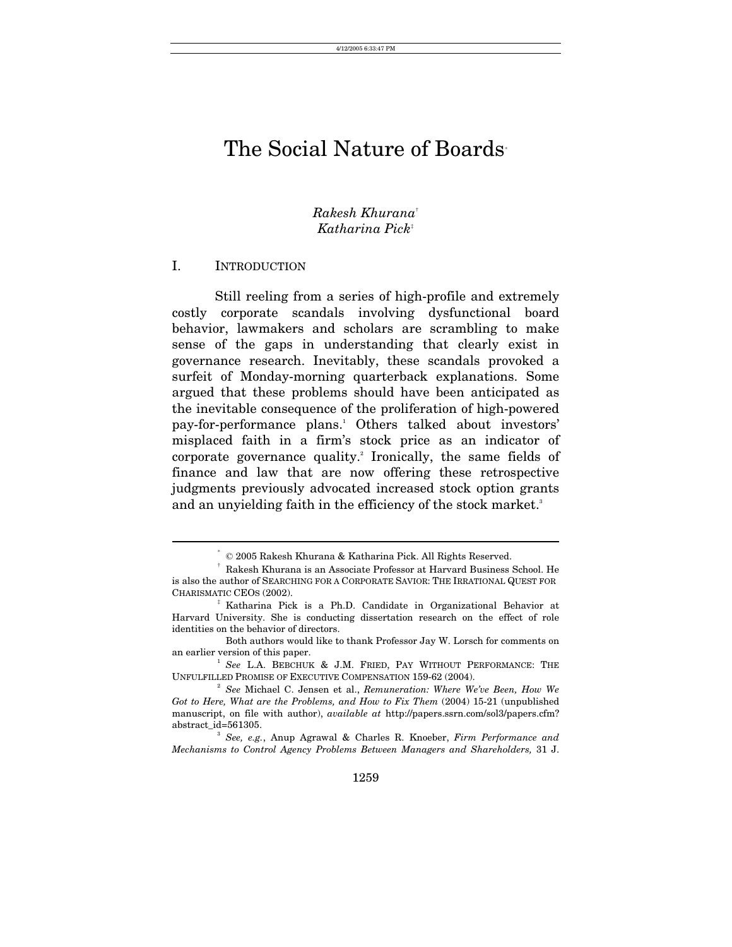# The Social Nature of Boards<sup>[\\*](#page-1-0)</sup>

# *Rakesh Khurana*[†](#page-1-1) *Katharina Pick*[‡](#page-1-2)

### I. INTRODUCTION

 $\overline{a}$ 

Still reeling from a series of high-profile and extremely costly corporate scandals involving dysfunctional board behavior, lawmakers and scholars are scrambling to make sense of the gaps in understanding that clearly exist in governance research. Inevitably, these scandals provoked a surfeit of Monday-morning quarterback explanations. Some argued that these problems should have been anticipated as the inevitable consequence of the proliferation of high-powered pay-for-performance plans.<sup>[1](#page-1-3)</sup> Others talked about investors' misplaced faith in a firm's stock price as an indicator of corporate governance quality.<sup>[2](#page-1-4)</sup> Ironically, the same fields of finance and law that are now offering these retrospective judgments previously advocated increased stock option grants and an unyielding faith in the efficiency of the stock market.<sup>3</sup>

<span id="page-1-1"></span><span id="page-1-0"></span><sup>\*</sup> © 2005 Rakesh Khurana & Katharina Pick. All Rights Reserved. †

Rakesh Khurana is an Associate Professor at Harvard Business School. He is also the author of SEARCHING FOR A CORPORATE SAVIOR: THE IRRATIONAL QUEST FOR CHARISMATIC CEOS (2002).

<span id="page-1-2"></span>Katharina Pick is a Ph.D. Candidate in Organizational Behavior at Harvard University. She is conducting dissertation research on the effect of role identities on the behavior of directors.

Both authors would like to thank Professor Jay W. Lorsch for comments on an earlier version of this paper.

<span id="page-1-3"></span>*See* L.A. BEBCHUK & J.M. FRIED, PAY WITHOUT PERFORMANCE: THE UNFULFILLED PROMISE OF EXECUTIVE COMPENSATION 159-62 (2004). 2

<span id="page-1-4"></span>*See* Michael C. Jensen et al., *Remuneration: Where We've Been, How We Got to Here, What are the Problems, and How to Fix Them* (2004) 15-21 (unpublished manuscript, on file with author), *available at* http://papers.ssrn.com/sol3/papers.cfm? abstract\_id=561305.

<span id="page-1-5"></span><sup>3</sup>  *See, e.g.*, Anup Agrawal & Charles R. Knoeber, *Firm Performance and Mechanisms to Control Agency Problems Between Managers and Shareholders,* 31 J.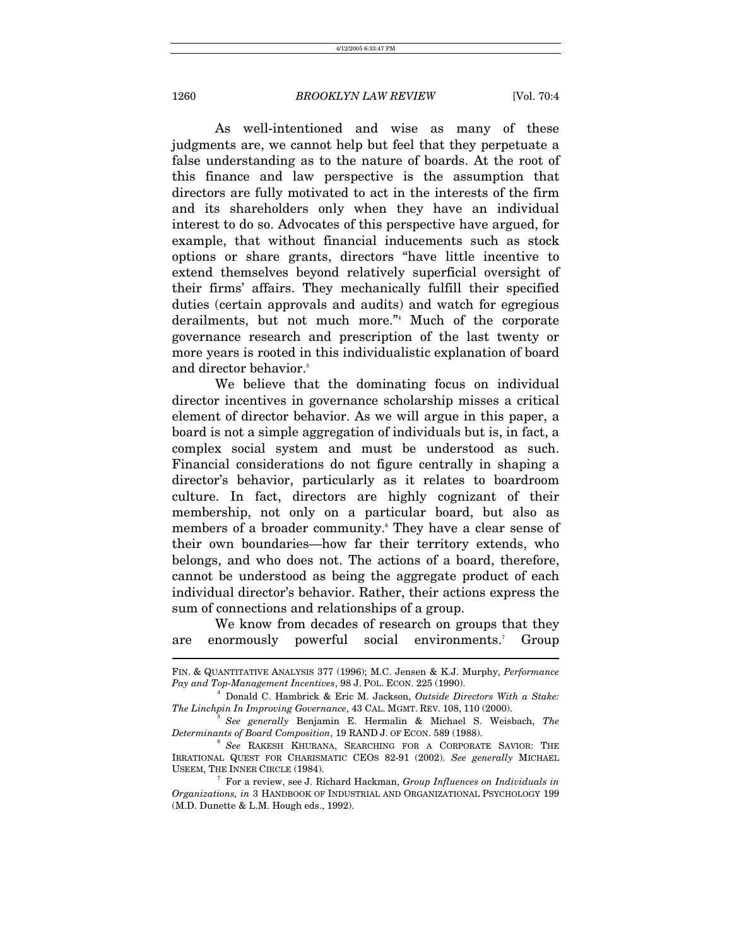As well-intentioned and wise as many of these judgments are, we cannot help but feel that they perpetuate a false understanding as to the nature of boards. At the root of this finance and law perspective is the assumption that directors are fully motivated to act in the interests of the firm and its shareholders only when they have an individual interest to do so. Advocates of this perspective have argued, for example, that without financial inducements such as stock options or share grants, directors "have little incentive to extend themselves beyond relatively superficial oversight of their firms' affairs. They mechanically fulfill their specified duties (certain approvals and audits) and watch for egregious derailments, but not much more.["4](#page-2-0) Much of the corporate governance research and prescription of the last twenty or more years is rooted in this individualistic explanation of board and director behavior.<sup>5</sup>

We believe that the dominating focus on individual director incentives in governance scholarship misses a critical element of director behavior. As we will argue in this paper, a board is not a simple aggregation of individuals but is, in fact, a complex social system and must be understood as such. Financial considerations do not figure centrally in shaping a director's behavior, particularly as it relates to boardroom culture. In fact, directors are highly cognizant of their membership, not only on a particular board, but also as members of a broader community.<sup>6</sup> They have a clear sense of their own boundaries—how far their territory extends, who belongs, and who does not. The actions of a board, therefore, cannot be understood as being the aggregate product of each individual director's behavior. Rather, their actions express the sum of connections and relationships of a group.

We know from decades of research on groups that they are enormously powerful social environments.<sup>[7](#page-2-3)</sup> Group

FIN. & QUANTITATIVE ANALYSIS 377 (1996); M.C. Jensen & K.J. Murphy, *Performance*  Pay and Top-Management Incentives, 98 J. POL. ECON. 225 (1990).

<span id="page-2-0"></span>Donald C. Hambrick & Eric M. Jackson, *Outside Directors With a Stake: The Linchpin In Improving Governance*, 43 CAL. MGMT. REV. 108, 110 (2000).

<span id="page-2-1"></span>*See generally* Benjamin E. Hermalin & Michael S. Weisbach, *The Determinants of Board Composition*, 19 RAND J. OF ECON. 589 (1988). 6

<span id="page-2-2"></span>*See* RAKESH KHURANA, SEARCHING FOR A CORPORATE SAVIOR: THE IRRATIONAL QUEST FOR CHARISMATIC CEOS 82-91 (2002). *See generally* MICHAEL USEEM, THE INNER CIRCLE (1984).

<span id="page-2-3"></span>For a review, see J. Richard Hackman, *Group Influences on Individuals in Organizations, in* 3 HANDBOOK OF INDUSTRIAL AND ORGANIZATIONAL PSYCHOLOGY 199 (M.D. Dunette & L.M. Hough eds., 1992).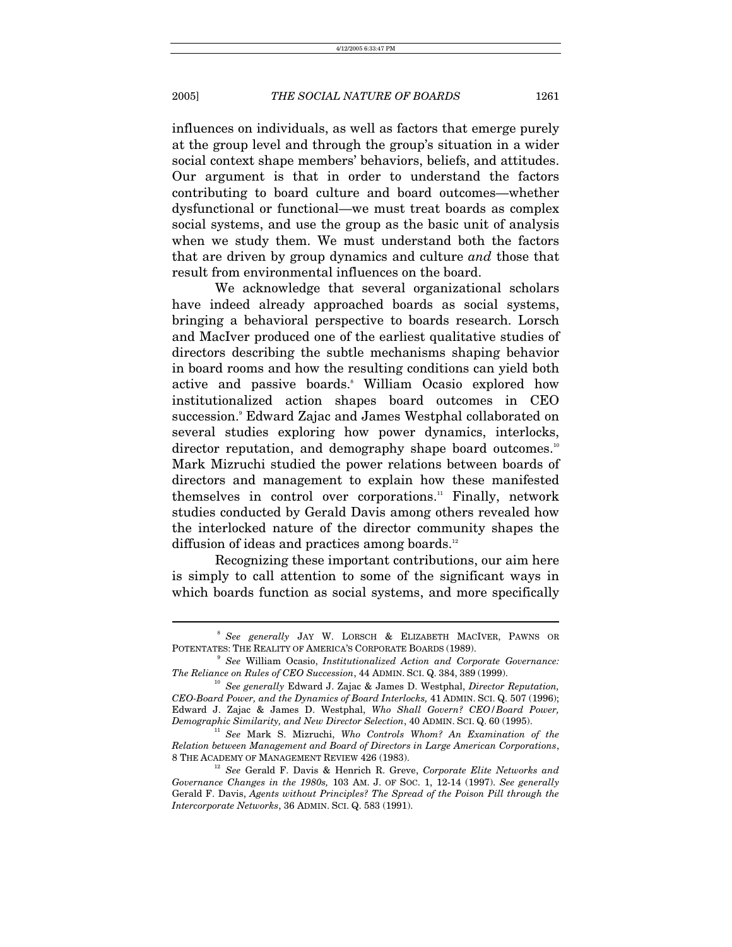influences on individuals, as well as factors that emerge purely at the group level and through the group's situation in a wider social context shape members' behaviors, beliefs, and attitudes. Our argument is that in order to understand the factors contributing to board culture and board outcomes—whether dysfunctional or functional—we must treat boards as complex social systems, and use the group as the basic unit of analysis when we study them. We must understand both the factors that are driven by group dynamics and culture *and* those that result from environmental influences on the board.

We acknowledge that several organizational scholars have indeed already approached boards as social systems, bringing a behavioral perspective to boards research. Lorsch and MacIver produced one of the earliest qualitative studies of directors describing the subtle mechanisms shaping behavior in board rooms and how the resulting conditions can yield both active and passive boards.<sup>8</sup> William Ocasio explored how institutionalized action shapes board outcomes in CEO succession.9 Edward Zajac and James Westphal collaborated on several studies exploring how power dynamics, interlocks, director reputation, and demography shape board outcomes.<sup>[10](#page-3-2)</sup> Mark Mizruchi studied the power relations between boards of directors and management to explain how these manifested themselves in control over corporations.<sup>11</sup> Finally, network studies conducted by Gerald Davis among others revealed how the interlocked nature of the director community shapes the diffusion of ideas and practices among boards.<sup>12</sup>

Recognizing these important contributions, our aim here is simply to call attention to some of the significant ways in which boards function as social systems, and more specifically

<span id="page-3-0"></span><sup>8</sup>  *See generally* JAY W. LORSCH & ELIZABETH MACIVER, PAWNS OR POTENTATES: THE REALITY OF AMERICA'S CORPORATE BOARDS (1989).<br><sup>9</sup> *See* William Ocasio, *Institutionalized Action and Corporate Governance:* 

<span id="page-3-1"></span>*The Reliance on Rules of CEO Succession*, 44 ADMIN. SCI. Q. 384, 389 (1999).<br><sup>10</sup> *See generally Edward J. Zajac & James D. Westphal, Director Reputation,* 

<span id="page-3-2"></span>*CEO-Board Power, and the Dynamics of Board Interlocks,* 41 ADMIN. SCI. Q. 507 (1996); Edward J. Zajac & James D. Westphal, *Who Shall Govern? CEO/Board Power, Demographic Similarity, and New Director Selection*, 40 ADMIN. SCI. Q. 60 (1995). 11 *See* Mark S. Mizruchi, *Who Controls Whom? An Examination of the* 

<span id="page-3-3"></span>*Relation between Management and Board of Directors in Large American Corporations*, 8 THE ACADEMY OF MANAGEMENT REVIEW 426 (1983). 12 *See* Gerald F. Davis & Henrich R. Greve, *Corporate Elite Networks and* 

<span id="page-3-4"></span>*Governance Changes in the 1980s,* 103 AM. J. OF SOC. 1, 12-14 (1997). *See generally*  Gerald F. Davis, *Agents without Principles? The Spread of the Poison Pill through the Intercorporate Networks*, 36 ADMIN. SCI. Q. 583 (1991).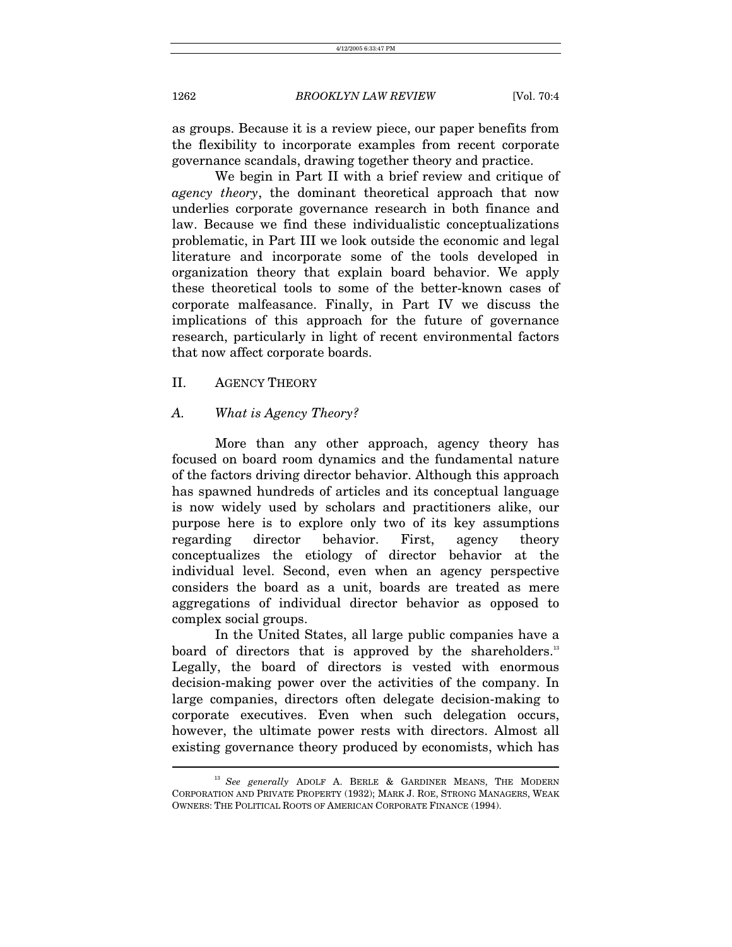as groups. Because it is a review piece, our paper benefits from the flexibility to incorporate examples from recent corporate governance scandals, drawing together theory and practice.

We begin in Part II with a brief review and critique of *agency theory*, the dominant theoretical approach that now underlies corporate governance research in both finance and law. Because we find these individualistic conceptualizations problematic, in Part III we look outside the economic and legal literature and incorporate some of the tools developed in organization theory that explain board behavior. We apply these theoretical tools to some of the better-known cases of corporate malfeasance. Finally, in Part IV we discuss the implications of this approach for the future of governance research, particularly in light of recent environmental factors that now affect corporate boards.

II. AGENCY THEORY

#### *A. What is Agency Theory?*

More than any other approach, agency theory has focused on board room dynamics and the fundamental nature of the factors driving director behavior. Although this approach has spawned hundreds of articles and its conceptual language is now widely used by scholars and practitioners alike, our purpose here is to explore only two of its key assumptions regarding director behavior. First, agency theory conceptualizes the etiology of director behavior at the individual level. Second, even when an agency perspective considers the board as a unit, boards are treated as mere aggregations of individual director behavior as opposed to complex social groups.

In the United States, all large public companies have a board of directors that is approved by the shareholders.<sup>13</sup> Legally, the board of directors is vested with enormous decision-making power over the activities of the company. In large companies, directors often delegate decision-making to corporate executives. Even when such delegation occurs, however, the ultimate power rests with directors. Almost all existing governance theory produced by economists, which has  $\overline{a}$ 

<span id="page-4-0"></span><sup>&</sup>lt;sup>13</sup> See generally ADOLF A. BERLE & GARDINER MEANS, THE MODERN CORPORATION AND PRIVATE PROPERTY (1932); MARK J. ROE, STRONG MANAGERS, WEAK OWNERS: THE POLITICAL ROOTS OF AMERICAN CORPORATE FINANCE (1994).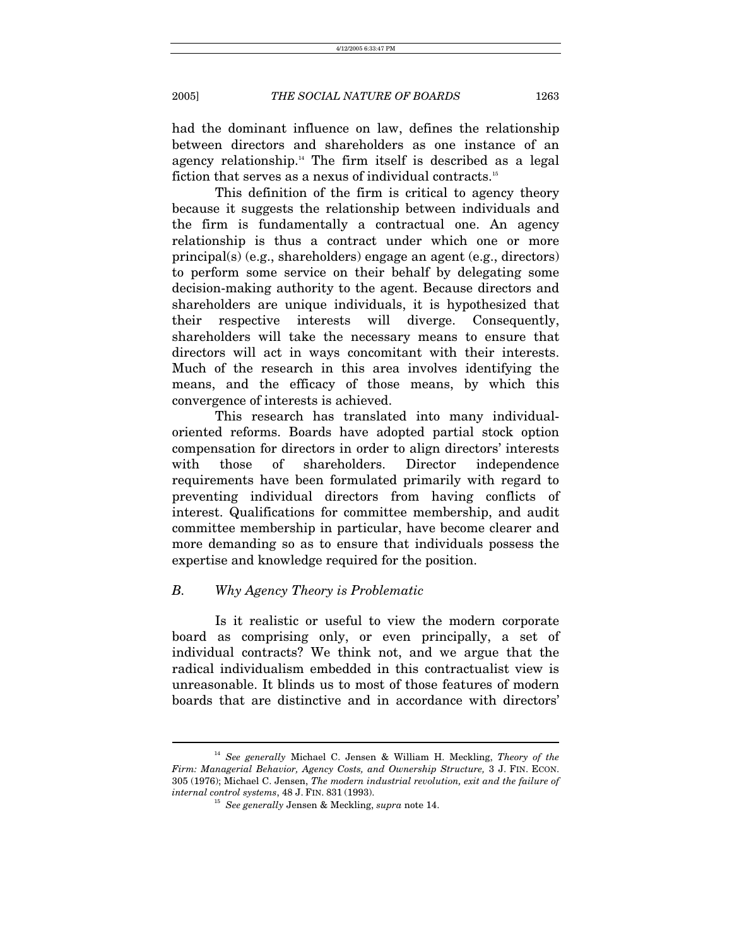had the dominant influence on law, defines the relationship between directors and shareholders as one instance of an agency relationship.[14](#page-5-0) The firm itself is described as a legal fiction that serves as a nexus of individual contracts.[15](#page-5-1)

This definition of the firm is critical to agency theory because it suggests the relationship between individuals and the firm is fundamentally a contractual one. An agency relationship is thus a contract under which one or more principal(s) (e.g., shareholders) engage an agent (e.g., directors) to perform some service on their behalf by delegating some decision-making authority to the agent. Because directors and shareholders are unique individuals, it is hypothesized that their respective interests will diverge. Consequently, shareholders will take the necessary means to ensure that directors will act in ways concomitant with their interests. Much of the research in this area involves identifying the means, and the efficacy of those means, by which this convergence of interests is achieved.

This research has translated into many individualoriented reforms. Boards have adopted partial stock option compensation for directors in order to align directors' interests with those of shareholders. Director independence requirements have been formulated primarily with regard to preventing individual directors from having conflicts of interest. Qualifications for committee membership, and audit committee membership in particular, have become clearer and more demanding so as to ensure that individuals possess the expertise and knowledge required for the position.

# *B. Why Agency Theory is Problematic*

Is it realistic or useful to view the modern corporate board as comprising only, or even principally, a set of individual contracts? We think not, and we argue that the radical individualism embedded in this contractualist view is unreasonable. It blinds us to most of those features of modern boards that are distinctive and in accordance with directors'

<span id="page-5-0"></span><sup>14</sup> *See generally* Michael C. Jensen & William H. Meckling, *Theory of the Firm: Managerial Behavior, Agency Costs, and Ownership Structure,* 3 J. FIN. ECON. 305 (1976); Michael C. Jensen, *The modern industrial revolution, exit and the failure of internal control systems*, 48 J. FIN. 831 (1993).<br><sup>15</sup> See generally Jensen & Meckling, *supra* note 14.

<span id="page-5-1"></span>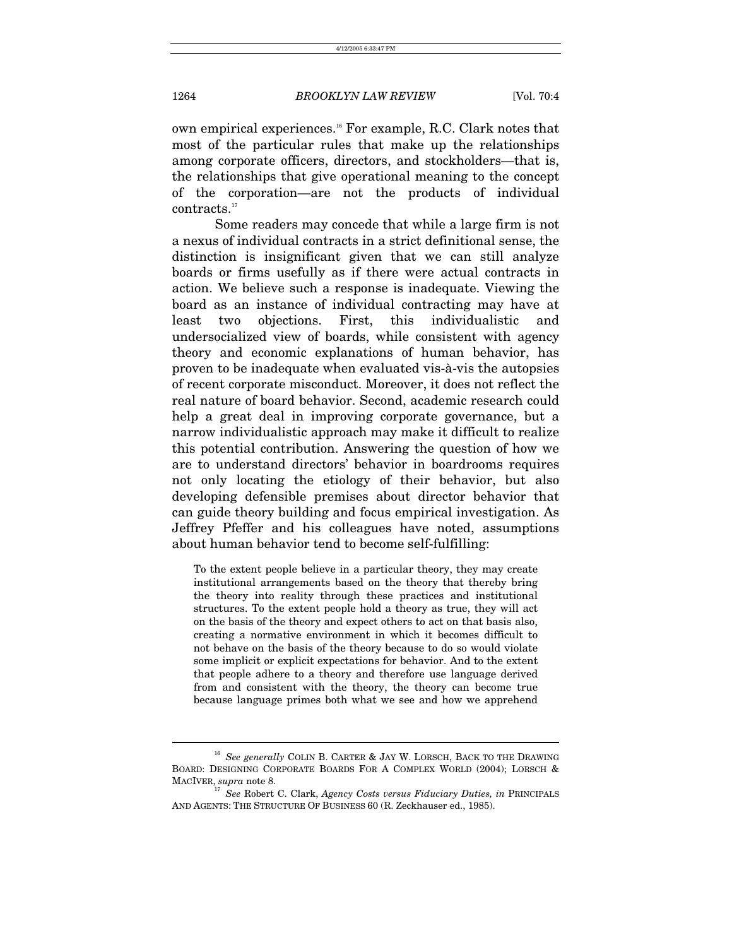own empirical experiences[.16](#page-6-0) For example, R.C. Clark notes that most of the particular rules that make up the relationships among corporate officers, directors, and stockholders—that is, the relationships that give operational meaning to the concept of the corporation—are not the products of individual  $\rm contracts.^{\tiny 17}$ 

Some readers may concede that while a large firm is not a nexus of individual contracts in a strict definitional sense, the distinction is insignificant given that we can still analyze boards or firms usefully as if there were actual contracts in action. We believe such a response is inadequate. Viewing the board as an instance of individual contracting may have at least two objections. First, this individualistic and undersocialized view of boards, while consistent with agency theory and economic explanations of human behavior, has proven to be inadequate when evaluated vis-à-vis the autopsies of recent corporate misconduct. Moreover, it does not reflect the real nature of board behavior. Second, academic research could help a great deal in improving corporate governance, but a narrow individualistic approach may make it difficult to realize this potential contribution. Answering the question of how we are to understand directors' behavior in boardrooms requires not only locating the etiology of their behavior, but also developing defensible premises about director behavior that can guide theory building and focus empirical investigation. As Jeffrey Pfeffer and his colleagues have noted, assumptions about human behavior tend to become self-fulfilling:

To the extent people believe in a particular theory, they may create institutional arrangements based on the theory that thereby bring the theory into reality through these practices and institutional structures. To the extent people hold a theory as true, they will act on the basis of the theory and expect others to act on that basis also, creating a normative environment in which it becomes difficult to not behave on the basis of the theory because to do so would violate some implicit or explicit expectations for behavior. And to the extent that people adhere to a theory and therefore use language derived from and consistent with the theory, the theory can become true because language primes both what we see and how we apprehend

<span id="page-6-0"></span> $^{16}\,$  See generally COLIN B. CARTER & JAY W. LORSCH, BACK TO THE DRAWING BOARD: DESIGNING CORPORATE BOARDS FOR A COMPLEX WORLD (2004); LORSCH & MACIVER, *supra* note 8. 17 *See* Robert C. Clark, *Agency Costs versus Fiduciary Duties, in* PRINCIPALS

<span id="page-6-1"></span>AND AGENTS: THE STRUCTURE OF BUSINESS 60 (R. Zeckhauser ed., 1985).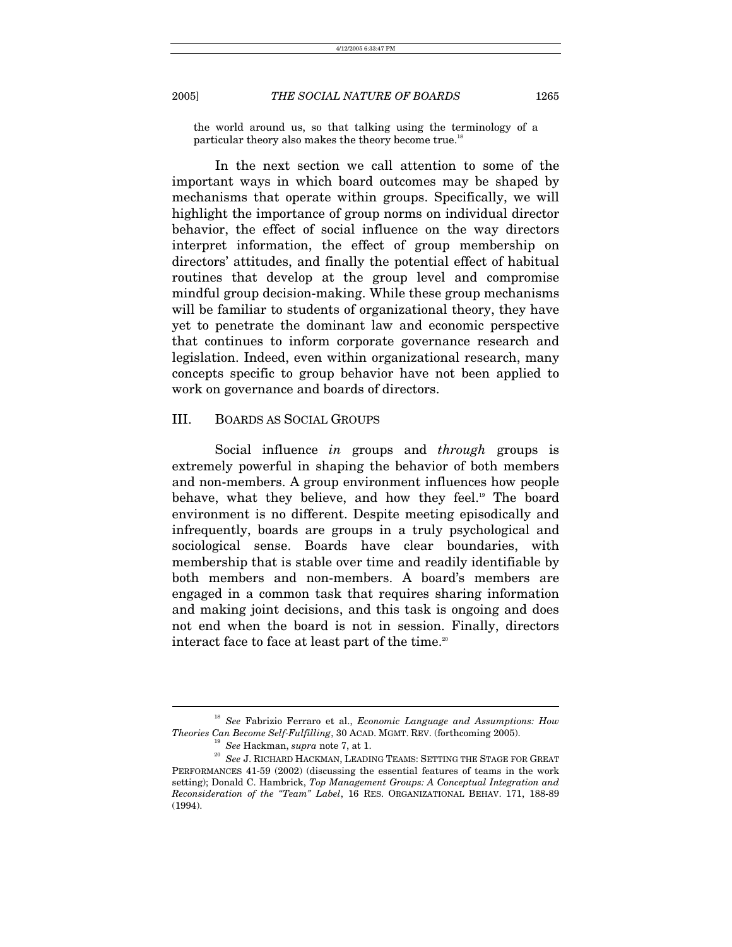the world around us, so that talking using the terminology of a particular theory also makes the theory become true.<sup>18</sup>

In the next section we call attention to some of the important ways in which board outcomes may be shaped by mechanisms that operate within groups. Specifically, we will highlight the importance of group norms on individual director behavior, the effect of social influence on the way directors interpret information, the effect of group membership on directors' attitudes, and finally the potential effect of habitual routines that develop at the group level and compromise mindful group decision-making. While these group mechanisms will be familiar to students of organizational theory, they have yet to penetrate the dominant law and economic perspective that continues to inform corporate governance research and legislation. Indeed, even within organizational research, many concepts specific to group behavior have not been applied to work on governance and boards of directors.

#### III. BOARDS AS SOCIAL GROUPS

Social influence *in* groups and *through* groups is extremely powerful in shaping the behavior of both members and non-members. A group environment influences how people behave, what they believe, and how they feel.<sup>19</sup> The board environment is no different. Despite meeting episodically and infrequently, boards are groups in a truly psychological and sociological sense. Boards have clear boundaries, with membership that is stable over time and readily identifiable by both members and non-members. A board's members are engaged in a common task that requires sharing information and making joint decisions, and this task is ongoing and does not end when the board is not in session. Finally, directors interact face to face at least part of the time.<sup>[20](#page-7-2)</sup>

<sup>18</sup> *See* Fabrizio Ferraro et al., *Economic Language and Assumptions: How Theories Can Become Self-Fulfilling*, 30 ACAD. MGMT. REV. (forthcoming 2005).

<span id="page-7-2"></span><span id="page-7-1"></span><span id="page-7-0"></span>

<sup>&</sup>lt;sup>19</sup> See Hackman, *supra* note 7, at 1.<br><sup>20</sup> See J. RICHARD HACKMAN, LEADING TEAMS: SETTING THE STAGE FOR GREAT PERFORMANCES 41-59 (2002) (discussing the essential features of teams in the work setting); Donald C. Hambrick, *Top Management Groups: A Conceptual Integration and Reconsideration of the "Team" Label*, 16 RES. ORGANIZATIONAL BEHAV. 171, 188-89 (1994).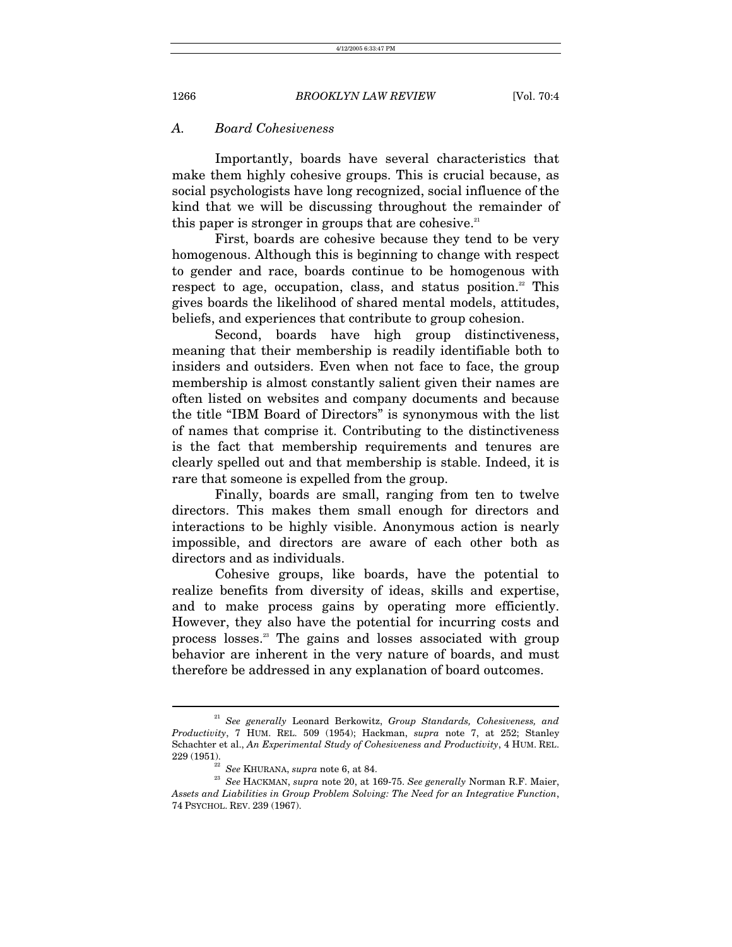#### *A. Board Cohesiveness*

Importantly, boards have several characteristics that make them highly cohesive groups. This is crucial because, as social psychologists have long recognized, social influence of the kind that we will be discussing throughout the remainder of this paper is stronger in groups that are cohesive.<sup>[21](#page-8-0)</sup>

First, boards are cohesive because they tend to be very homogenous. Although this is beginning to change with respect to gender and race, boards continue to be homogenous with respect to age, occupation, class, and status position.<sup>22</sup> This gives boards the likelihood of shared mental models, attitudes, beliefs, and experiences that contribute to group cohesion.

Second, boards have high group distinctiveness, meaning that their membership is readily identifiable both to insiders and outsiders. Even when not face to face, the group membership is almost constantly salient given their names are often listed on websites and company documents and because the title "IBM Board of Directors" is synonymous with the list of names that comprise it. Contributing to the distinctiveness is the fact that membership requirements and tenures are clearly spelled out and that membership is stable. Indeed, it is rare that someone is expelled from the group.

Finally, boards are small, ranging from ten to twelve directors. This makes them small enough for directors and interactions to be highly visible. Anonymous action is nearly impossible, and directors are aware of each other both as directors and as individuals.

Cohesive groups, like boards, have the potential to realize benefits from diversity of ideas, skills and expertise, and to make process gains by operating more efficiently. However, they also have the potential for incurring costs and process losses[.23](#page-8-2) The gains and losses associated with group behavior are inherent in the very nature of boards, and must therefore be addressed in any explanation of board outcomes.

<span id="page-8-0"></span><sup>21</sup> *See generally* Leonard Berkowitz, *Group Standards, Cohesiveness, and Productivity*, 7 HUM. REL. 509 (1954); Hackman, *supra* note 7, at 252; Stanley Schachter et al., *An Experimental Study of Cohesiveness and Productivity*, 4 HUM. REL.

<span id="page-8-2"></span><span id="page-8-1"></span>

<sup>229 (1951). 22</sup> *See* KHURANA, *supra* note 6, at 84. 23 *See* HACKMAN, *supra* note 20, at 169-75. *See generally* Norman R.F. Maier, *Assets and Liabilities in Group Problem Solving: The Need for an Integrative Function*, 74 PSYCHOL. REV. 239 (1967).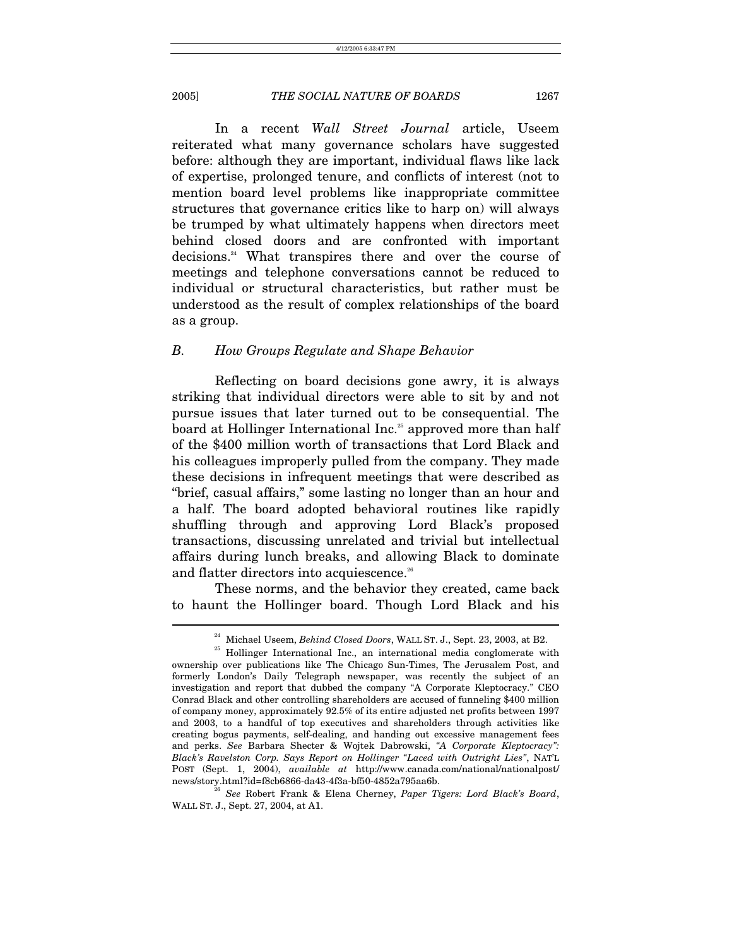$\overline{a}$ 

#### 2005] *THE SOCIAL NATURE OF BOARDS* 1267

In a recent *Wall Street Journal* article, Useem reiterated what many governance scholars have suggested before: although they are important, individual flaws like lack of expertise, prolonged tenure, and conflicts of interest (not to mention board level problems like inappropriate committee structures that governance critics like to harp on) will always be trumped by what ultimately happens when directors meet behind closed doors and are confronted with important decisions[.24](#page-9-0) What transpires there and over the course of meetings and telephone conversations cannot be reduced to individual or structural characteristics, but rather must be understood as the result of complex relationships of the board as a group.

#### *B. How Groups Regulate and Shape Behavior*

Reflecting on board decisions gone awry, it is always striking that individual directors were able to sit by and not pursue issues that later turned out to be consequential. The board at Hollinger International Inc.<sup>25</sup> approved more than half of the \$400 million worth of transactions that Lord Black and his colleagues improperly pulled from the company. They made these decisions in infrequent meetings that were described as "brief, casual affairs," some lasting no longer than an hour and a half. The board adopted behavioral routines like rapidly shuffling through and approving Lord Black's proposed transactions, discussing unrelated and trivial but intellectual affairs during lunch breaks, and allowing Black to dominate and flatter directors into acquiescence.<sup>[26](#page-9-2)</sup>

These norms, and the behavior they created, came back to haunt the Hollinger board. Though Lord Black and his

<span id="page-9-1"></span><span id="page-9-0"></span>

<sup>&</sup>lt;sup>24</sup> Michael Useem, *Behind Closed Doors*, WALL ST. J., Sept. 23, 2003, at B2.<br><sup>25</sup> Hollinger International Inc., an international media conglomerate with ownership over publications like The Chicago Sun-Times, The Jerusalem Post, and formerly London's Daily Telegraph newspaper, was recently the subject of an investigation and report that dubbed the company "A Corporate Kleptocracy." CEO Conrad Black and other controlling shareholders are accused of funneling \$400 million of company money, approximately 92.5% of its entire adjusted net profits between 1997 and 2003, to a handful of top executives and shareholders through activities like creating bogus payments, self-dealing, and handing out excessive management fees and perks. *See* Barbara Shecter & Wojtek Dabrowski, *"A Corporate Kleptocracy": Black's Ravelston Corp. Says Report on Hollinger "Laced with Outright Lies"*, NAT'L POST (Sept. 1, 2004), *available at http://www.canada.com/national/nationalpost/* news/story.html?id=f8cb6866-da43-4f3a-bf50-4852a795aa6b.

<span id="page-9-2"></span><sup>26</sup> *See* Robert Frank & Elena Cherney, *Paper Tigers: Lord Black's Board*, WALL ST. J., Sept. 27, 2004, at A1.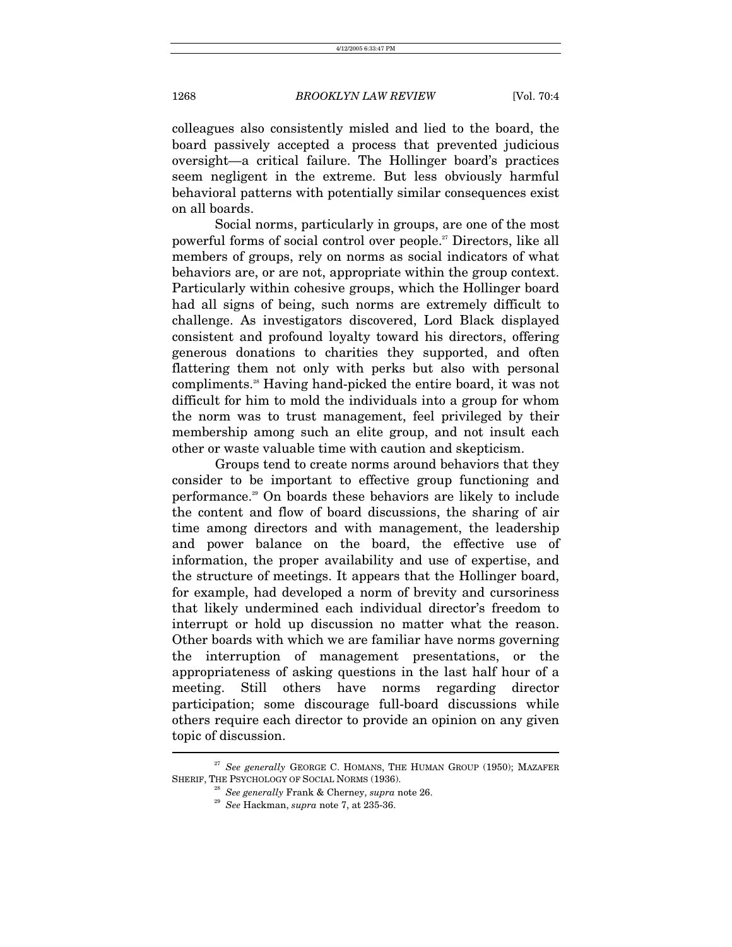colleagues also consistently misled and lied to the board, the board passively accepted a process that prevented judicious oversight—a critical failure. The Hollinger board's practices seem negligent in the extreme. But less obviously harmful behavioral patterns with potentially similar consequences exist on all boards.

Social norms, particularly in groups, are one of the most powerful forms of social control over people.[27](#page-10-0) Directors, like all members of groups, rely on norms as social indicators of what behaviors are, or are not, appropriate within the group context. Particularly within cohesive groups, which the Hollinger board had all signs of being, such norms are extremely difficult to challenge. As investigators discovered, Lord Black displayed consistent and profound loyalty toward his directors, offering generous donations to charities they supported, and often flattering them not only with perks but also with personal compliments.<sup>28</sup> Having hand-picked the entire board, it was not difficult for him to mold the individuals into a group for whom the norm was to trust management, feel privileged by their membership among such an elite group, and not insult each other or waste valuable time with caution and skepticism.

Groups tend to create norms around behaviors that they consider to be important to effective group functioning and performance.[29](#page-10-2) On boards these behaviors are likely to include the content and flow of board discussions, the sharing of air time among directors and with management, the leadership and power balance on the board, the effective use of information, the proper availability and use of expertise, and the structure of meetings. It appears that the Hollinger board, for example, had developed a norm of brevity and cursoriness that likely undermined each individual director's freedom to interrupt or hold up discussion no matter what the reason. Other boards with which we are familiar have norms governing the interruption of management presentations, or the appropriateness of asking questions in the last half hour of a meeting. Still others have norms regarding director participation; some discourage full-board discussions while others require each director to provide an opinion on any given topic of discussion. l

<sup>&</sup>lt;sup>27</sup> See generally GEORGE C. HOMANS, THE HUMAN GROUP (1950); MAZAFER SHERIF, THE PSYCHOLOGY OF SOCIAL NORMS (1936). 28 *See generally* Frank & Cherney, *supra* note 26. 29 *See* Hackman, *supra* note 7, at 235-36.

<span id="page-10-1"></span><span id="page-10-0"></span>

<span id="page-10-2"></span>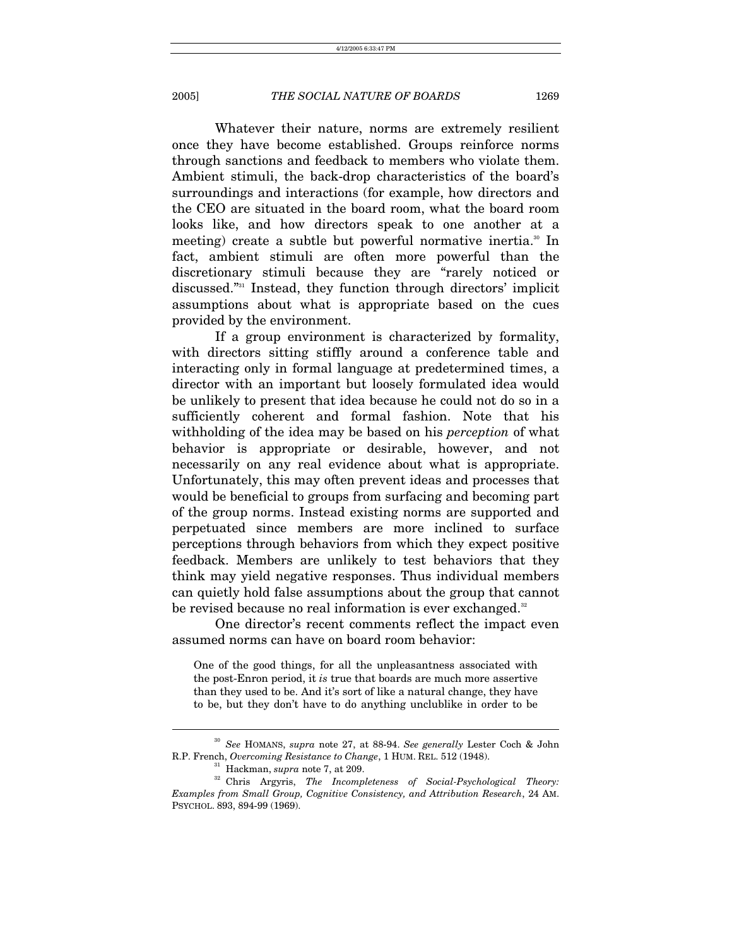Whatever their nature, norms are extremely resilient once they have become established. Groups reinforce norms through sanctions and feedback to members who violate them. Ambient stimuli, the back-drop characteristics of the board's surroundings and interactions (for example, how directors and the CEO are situated in the board room, what the board room looks like, and how directors speak to one another at a meeting) create a subtle but powerful normative inertia.<sup>30</sup> In fact, ambient stimuli are often more powerful than the discretionary stimuli because they are "rarely noticed or discussed."[31](#page-11-1) Instead, they function through directors' implicit assumptions about what is appropriate based on the cues provided by the environment.

If a group environment is characterized by formality, with directors sitting stiffly around a conference table and interacting only in formal language at predetermined times, a director with an important but loosely formulated idea would be unlikely to present that idea because he could not do so in a sufficiently coherent and formal fashion. Note that his withholding of the idea may be based on his *perception* of what behavior is appropriate or desirable, however, and not necessarily on any real evidence about what is appropriate. Unfortunately, this may often prevent ideas and processes that would be beneficial to groups from surfacing and becoming part of the group norms. Instead existing norms are supported and perpetuated since members are more inclined to surface perceptions through behaviors from which they expect positive feedback. Members are unlikely to test behaviors that they think may yield negative responses. Thus individual members can quietly hold false assumptions about the group that cannot be revised because no real information is ever exchanged.<sup>[32](#page-11-2)</sup>

One director's recent comments reflect the impact even assumed norms can have on board room behavior:

One of the good things, for all the unpleasantness associated with the post-Enron period, it *is* true that boards are much more assertive than they used to be. And it's sort of like a natural change, they have to be, but they don't have to do anything unclublike in order to be

<sup>30</sup> *See* HOMANS, *supra* note 27, at 88-94. *See generally* Lester Coch & John R.P. French, *Overcoming Resistance to Change*, 1 HUM. REL. 512 (1948).<br><sup>31</sup> Hackman, *supra* note 7, at 209.<br><sup>32</sup> Chris Argyris, *The Incompleteness of Social-Psychological Theory:* 

<span id="page-11-2"></span><span id="page-11-1"></span><span id="page-11-0"></span>

*Examples from Small Group, Cognitive Consistency, and Attribution Research*, 24 AM. PSYCHOL. 893, 894-99 (1969).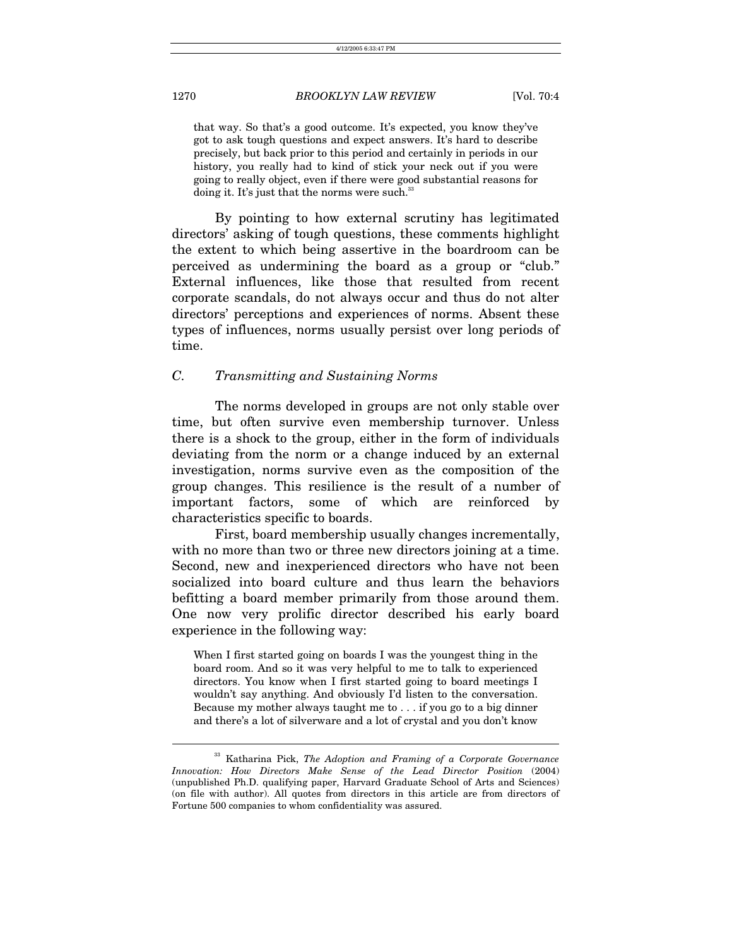that way. So that's a good outcome. It's expected, you know they've got to ask tough questions and expect answers. It's hard to describe precisely, but back prior to this period and certainly in periods in our history, you really had to kind of stick your neck out if you were going to really object, even if there were good substantial reasons for doing it[.](#page-12-0) It's just that the norms were such.<sup>33</sup>

By pointing to how external scrutiny has legitimated directors' asking of tough questions, these comments highlight the extent to which being assertive in the boardroom can be perceived as undermining the board as a group or "club." External influences, like those that resulted from recent corporate scandals, do not always occur and thus do not alter directors' perceptions and experiences of norms. Absent these types of influences, norms usually persist over long periods of time.

# *C. Transmitting and Sustaining Norms*

The norms developed in groups are not only stable over time, but often survive even membership turnover. Unless there is a shock to the group, either in the form of individuals deviating from the norm or a change induced by an external investigation, norms survive even as the composition of the group changes. This resilience is the result of a number of important factors, some of which are reinforced by characteristics specific to boards.

First, board membership usually changes incrementally, with no more than two or three new directors joining at a time. Second, new and inexperienced directors who have not been socialized into board culture and thus learn the behaviors befitting a board member primarily from those around them. One now very prolific director described his early board experience in the following way:

When I first started going on boards I was the youngest thing in the board room. And so it was very helpful to me to talk to experienced directors. You know when I first started going to board meetings I wouldn't say anything. And obviously I'd listen to the conversation. Because my mother always taught me to . . . if you go to a big dinner and there's a lot of silverware and a lot of crystal and you don't know

<span id="page-12-0"></span><sup>33</sup> Katharina Pick, *The Adoption and Framing of a Corporate Governance Innovation: How Directors Make Sense of the Lead Director Position* (2004) (unpublished Ph.D. qualifying paper, Harvard Graduate School of Arts and Sciences) (on file with author). All quotes from directors in this article are from directors of Fortune 500 companies to whom confidentiality was assured.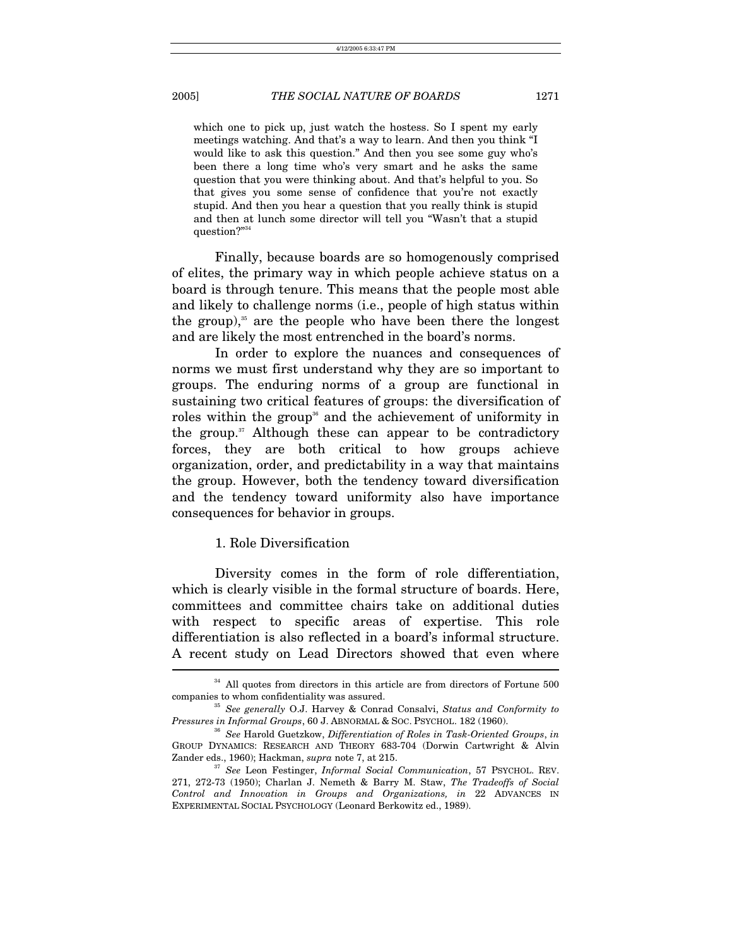which one to pick up, just watch the hostess. So I spent my early meetings watching. And that's a way to learn. And then you think "I would like to ask this question." And then you see some guy who's been there a long time who's very smart and he asks the same question that you were thinking about. And that's helpful to you. So that gives you some sense of confidence that you're not exactly stupid. And then you hear a question that you really think is stupid and then at lunch some director will tell you "Wasn't that a stupid question?["](#page-13-0)34

Finally, because boards are so homogenously comprised of elites, the primary way in which people achieve status on a board is through tenure. This means that the people most able and likely to challenge norms (i.e., people of high status within the group),<sup>35</sup> are the people who have been there the longest and are likely the most entrenched in the board's norms.

In order to explore the nuances and consequences of norms we must first understand why they are so important to groups. The enduring norms of a group are functional in sustaining two critical features of groups: the diversification of roles within the group<sup>36</sup> and the achievement of uniformity in the group. $37$  Although these can appear to be contradictory forces, they are both critical to how groups achieve organization, order, and predictability in a way that maintains the group. However, both the tendency toward diversification and the tendency toward uniformity also have importance consequences for behavior in groups.

#### 1. Role Diversification

Diversity comes in the form of role differentiation, which is clearly visible in the formal structure of boards. Here, committees and committee chairs take on additional duties with respect to specific areas of expertise. This role differentiation is also reflected in a board's informal structure. A recent study on Lead Directors showed that even where l

<span id="page-13-0"></span> $^{34}$  All quotes from directors in this article are from directors of Fortune 500 companies to whom confidentiality was assured.

<span id="page-13-1"></span><sup>&</sup>lt;sup>35</sup> See generally O.J. Harvey & Conrad Consalvi, *Status and Conformity to Pressures in Informal Groups*, 60 J. ABNORMAL & SOC. PSYCHOL. 182 (1960).

<span id="page-13-2"></span><sup>&</sup>lt;sup>6</sup> See Harold Guetzkow, Differentiation of Roles in Task-Oriented Groups, in GROUP DYNAMICS: RESEARCH AND THEORY 683-704 (Dorwin Cartwright & Alvin Zander eds., 1960); Hackman, *supra* note 7, at 215. 37 *See* Leon Festinger, *Informal Social Communication*, 57 PSYCHOL. REV.

<span id="page-13-3"></span><sup>271, 272-73 (1950);</sup> Charlan J. Nemeth & Barry M. Staw, *The Tradeoffs of Social Control and Innovation in Groups and Organizations, in* 22 ADVANCES IN EXPERIMENTAL SOCIAL PSYCHOLOGY (Leonard Berkowitz ed., 1989).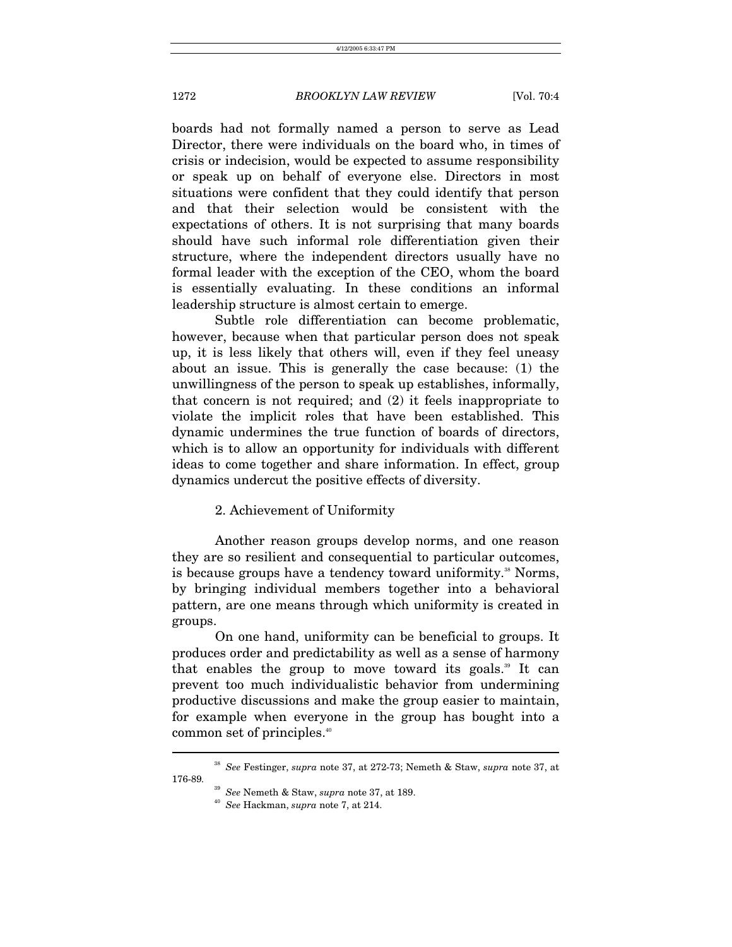boards had not formally named a person to serve as Lead Director, there were individuals on the board who, in times of crisis or indecision, would be expected to assume responsibility or speak up on behalf of everyone else. Directors in most situations were confident that they could identify that person and that their selection would be consistent with the expectations of others. It is not surprising that many boards should have such informal role differentiation given their structure, where the independent directors usually have no formal leader with the exception of the CEO, whom the board is essentially evaluating. In these conditions an informal leadership structure is almost certain to emerge.

Subtle role differentiation can become problematic, however, because when that particular person does not speak up, it is less likely that others will, even if they feel uneasy about an issue. This is generally the case because: (1) the unwillingness of the person to speak up establishes, informally, that concern is not required; and (2) it feels inappropriate to violate the implicit roles that have been established. This dynamic undermines the true function of boards of directors, which is to allow an opportunity for individuals with different ideas to come together and share information. In effect, group dynamics undercut the positive effects of diversity.

#### 2. Achievement of Uniformity

Another reason groups develop norms, and one reason they are so resilient and consequential to particular outcomes, is because groups have a tendency toward uniformity.<sup>38</sup> Norms, by bringing individual members together into a behavioral pattern, are one means through which uniformity is created in groups.

On one hand, uniformity can be beneficial to groups. It produces order and predictability as well as a sense of harmony that enables the group to move toward its goals.[39](#page-14-1) It can prevent too much individualistic behavior from undermining productive discussions and make the group easier to maintain, for example when everyone in the group has bought into a common set of principles.<sup>[40](#page-14-2)</sup>

<span id="page-14-0"></span><sup>38</sup> *See* Festinger, *supra* note 37, at 272-73; Nemeth & Staw, *supra* note 37, at

 $\overline{a}$ 

176-89*.*

<span id="page-14-1"></span><sup>39</sup> *See* Nemeth & Staw, *supra* note 37, at 189. 40 *See* Hackman, *supra* note 7, at 214.

<span id="page-14-2"></span>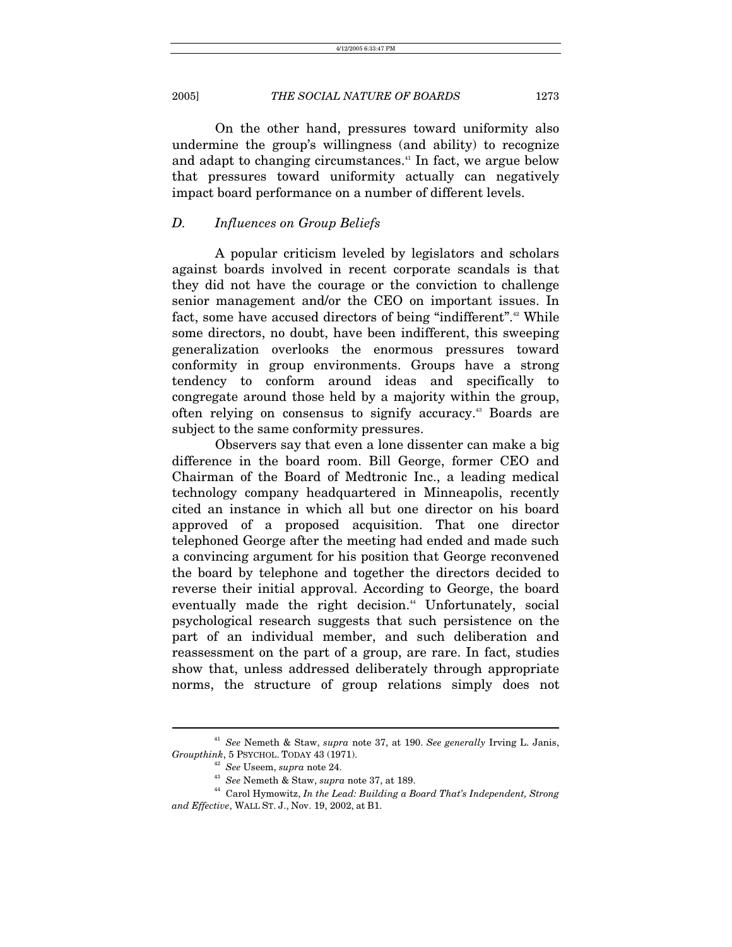On the other hand, pressures toward uniformity also undermine the group's willingness (and ability) to recognize and adapt to changing circumstances.<sup>41</sup> In fact, we argue below that pressures toward uniformity actually can negatively impact board performance on a number of different levels.

# *D. Influences on Group Beliefs*

A popular criticism leveled by legislators and scholars against boards involved in recent corporate scandals is that they did not have the courage or the conviction to challenge senior management and/or the CEO on important issues. In fact, some have accused directors of being "indifferent".<sup>42</sup> While some directors, no doubt, have been indifferent, this sweeping generalization overlooks the enormous pressures toward conformity in group environments. Groups have a strong tendency to conform around ideas and specifically to congregate around those held by a majority within the group, often relying on consensus to signify accuracy.<sup>43</sup> Boards are subject to the same conformity pressures.

Observers say that even a lone dissenter can make a big difference in the board room. Bill George, former CEO and Chairman of the Board of Medtronic Inc., a leading medical technology company headquartered in Minneapolis, recently cited an instance in which all but one director on his board approved of a proposed acquisition. That one director telephoned George after the meeting had ended and made such a convincing argument for his position that George reconvened the board by telephone and together the directors decided to reverse their initial approval. According to George, the board eventually made the right decision.<sup>44</sup> Unfortunately, social psychological research suggests that such persistence on the part of an individual member, and such deliberation and reassessment on the part of a group, are rare. In fact, studies show that, unless addressed deliberately through appropriate norms, the structure of group relations simply does not

<sup>41</sup> *See* Nemeth & Staw, *supra* note 37, at 190. *See generally* Irving L. Janis,

<span id="page-15-1"></span><span id="page-15-0"></span>

<span id="page-15-3"></span><span id="page-15-2"></span>

 $\begin{array}{l} \textit{Groupthink}, 5 \text{ PSYCHOL.} \text{TODAY 43 (1971).} \\ \text{\tiny $^{42}$} \textit{See} \text{Useem}, \textit{supra} \text{ note} \text{ 24.} \\ \text{\tiny $^{43}$} \textit{See} \text{ Nementh} \text{ \& Staw}, \textit{supra} \text{ note} \text{ 37, at 189.} \\ \text{\tiny $^{44}$} \textit{Carol} \text{ Hymowitz}, \textit{In the Lead: Building a Board That's Independent}, \textit{Strong} \end{array}$ *and Effective*, WALL ST. J., Nov. 19, 2002, at B1.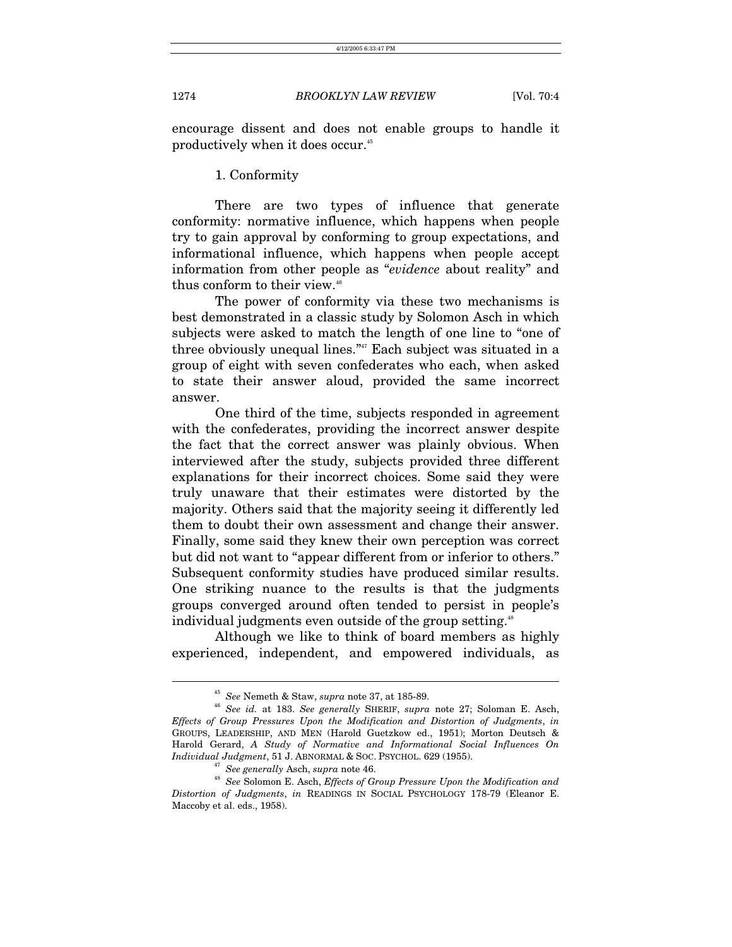encourage dissent and does not enable groups to handle it productively when it does occur.[45](#page-16-0)

1. Conformity

There are two types of influence that generate conformity: normative influence, which happens when people try to gain approval by conforming to group expectations, and informational influence, which happens when people accept information from other people as "*evidence* about reality" and thus conform to their view.<sup>46</sup>

The power of conformity via these two mechanisms is best demonstrated in a classic study by Solomon Asch in which subjects were asked to match the length of one line to "one of three obviously unequal lines.["47](#page-16-2) Each subject was situated in a group of eight with seven confederates who each, when asked to state their answer aloud, provided the same incorrect answer.

One third of the time, subjects responded in agreement with the confederates, providing the incorrect answer despite the fact that the correct answer was plainly obvious. When interviewed after the study, subjects provided three different explanations for their incorrect choices. Some said they were truly unaware that their estimates were distorted by the majority. Others said that the majority seeing it differently led them to doubt their own assessment and change their answer. Finally, some said they knew their own perception was correct but did not want to "appear different from or inferior to others." Subsequent conformity studies have produced similar results. One striking nuance to the results is that the judgments groups converged around often tended to persist in people's individual judgments even outside of the group setting.<sup>[48](#page-16-3)</sup>

Although we like to think of board members as highly experienced, independent, and empowered individuals, as

<span id="page-16-1"></span><span id="page-16-0"></span>

<sup>45</sup> *See* Nemeth & Staw, *supra* note 37, at 185-89. 46 *See id.* at 183. *See generally* SHERIF, *supra* note 27; Soloman E. Asch, *Effects of Group Pressures Upon the Modification and Distortion of Judgments*, *in*  GROUPS, LEADERSHIP, AND MEN (Harold Guetzkow ed., 1951); Morton Deutsch & Harold Gerard, *A Study of Normative and Informational Social Influences On* 

<span id="page-16-3"></span><span id="page-16-2"></span>

<sup>&</sup>lt;sup>47</sup> See generally Asch, supra note 46. <br><sup>48</sup> See Solomon E. Asch, *Effects of Group Pressure Upon the Modification and Distortion of Judgments*, *in* READINGS IN SOCIAL PSYCHOLOGY 178-79 (Eleanor E. Maccoby et al. eds., 1958).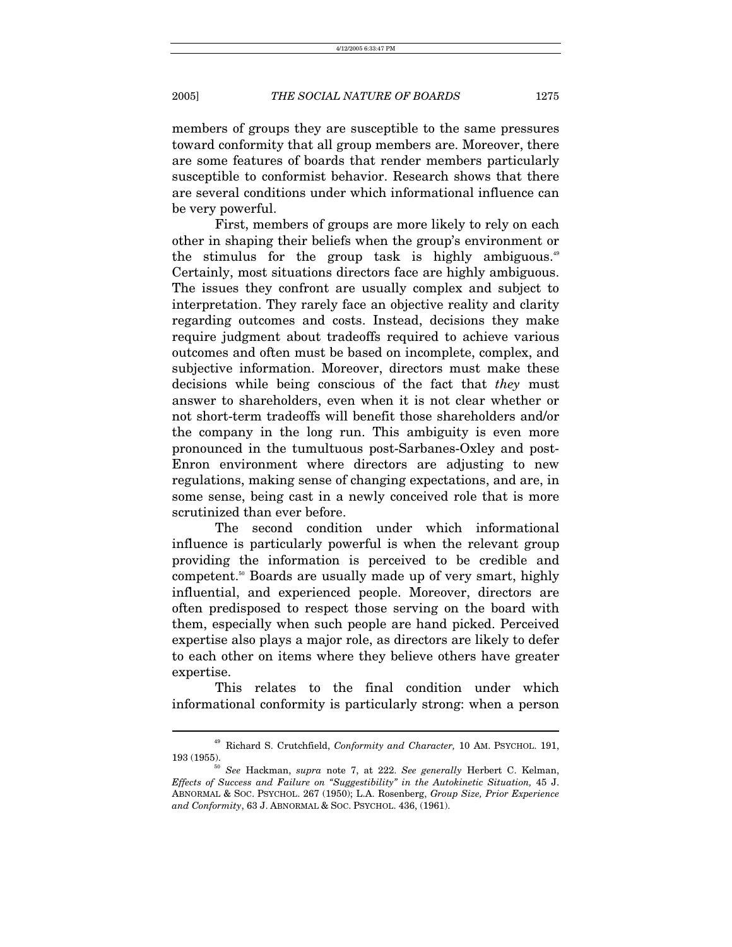members of groups they are susceptible to the same pressures toward conformity that all group members are. Moreover, there are some features of boards that render members particularly susceptible to conformist behavior. Research shows that there are several conditions under which informational influence can be very powerful.

First, members of groups are more likely to rely on each other in shaping their beliefs when the group's environment or the stimulus for the group task is highly ambiguous.<sup>[49](#page-17-0)</sup> Certainly, most situations directors face are highly ambiguous. The issues they confront are usually complex and subject to interpretation. They rarely face an objective reality and clarity regarding outcomes and costs. Instead, decisions they make require judgment about tradeoffs required to achieve various outcomes and often must be based on incomplete, complex, and subjective information. Moreover, directors must make these decisions while being conscious of the fact that *they* must answer to shareholders, even when it is not clear whether or not short-term tradeoffs will benefit those shareholders and/or the company in the long run. This ambiguity is even more pronounced in the tumultuous post-Sarbanes-Oxley and post-Enron environment where directors are adjusting to new regulations, making sense of changing expectations, and are, in some sense, being cast in a newly conceived role that is more scrutinized than ever before.

The second condition under which informational influence is particularly powerful is when the relevant group providing the information is perceived to be credible and competent.[50](#page-17-1) Boards are usually made up of very smart, highly influential, and experienced people. Moreover, directors are often predisposed to respect those serving on the board with them, especially when such people are hand picked. Perceived expertise also plays a major role, as directors are likely to defer to each other on items where they believe others have greater expertise.

This relates to the final condition under which informational conformity is particularly strong: when a person

<span id="page-17-0"></span><sup>49</sup> Richard S. Crutchfield, *Conformity and Character,* 10 AM. PSYCHOL. 191, 193 (1955). 50 *See* Hackman, *supra* note 7, at 222. *See generally* Herbert C. Kelman,

<span id="page-17-1"></span>*Effects of Success and Failure on "Suggestibility" in the Autokinetic Situation,* 45 J. ABNORMAL & SOC. PSYCHOL. 267 (1950); L.A. Rosenberg, *Group Size, Prior Experience and Conformity*, 63 J. ABNORMAL & SOC. PSYCHOL. 436, (1961).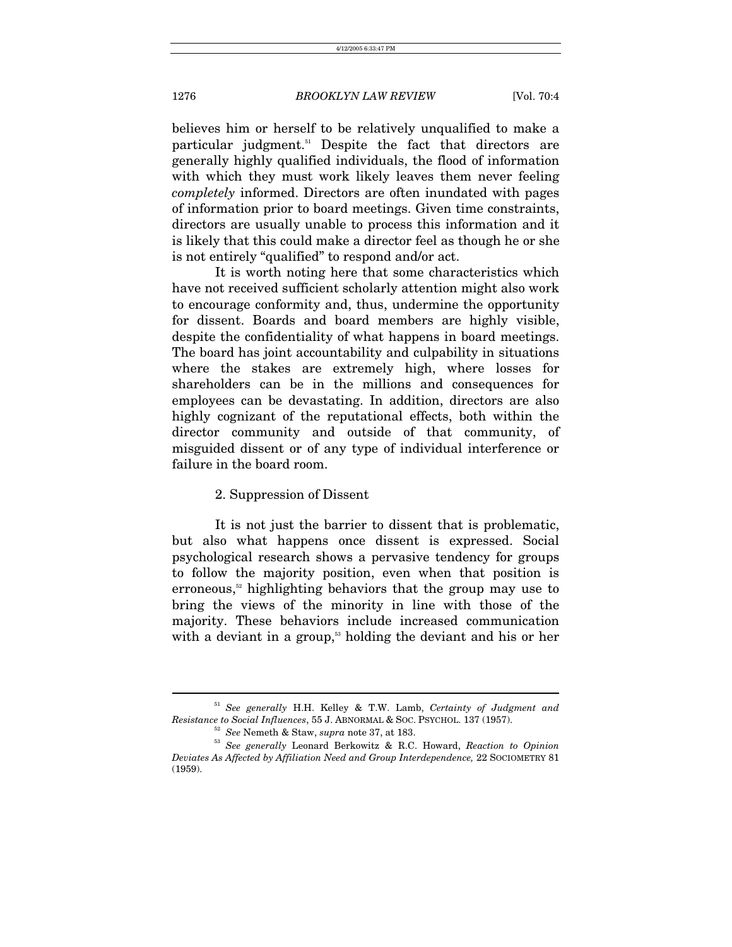believes him or herself to be relatively unqualified to make a particular judgment.<sup>51</sup> Despite the fact that directors are generally highly qualified individuals, the flood of information with which they must work likely leaves them never feeling *completely* informed. Directors are often inundated with pages of information prior to board meetings. Given time constraints, directors are usually unable to process this information and it is likely that this could make a director feel as though he or she is not entirely "qualified" to respond and/or act.

It is worth noting here that some characteristics which have not received sufficient scholarly attention might also work to encourage conformity and, thus, undermine the opportunity for dissent. Boards and board members are highly visible, despite the confidentiality of what happens in board meetings. The board has joint accountability and culpability in situations where the stakes are extremely high, where losses for shareholders can be in the millions and consequences for employees can be devastating. In addition, directors are also highly cognizant of the reputational effects, both within the director community and outside of that community, of misguided dissent or of any type of individual interference or failure in the board room.

#### 2. Suppression of Dissent

It is not just the barrier to dissent that is problematic, but also what happens once dissent is expressed. Social psychological research shows a pervasive tendency for groups to follow the majority position, even when that position is erroneous, $52$  highlighting behaviors that the group may use to bring the views of the minority in line with those of the majority. These behaviors include increased communication with a deviant in a group, $53$  holding the deviant and his or her

<sup>51</sup> *See generally* H.H. Kelley & T.W. Lamb, *Certainty of Judgment and* 

<span id="page-18-2"></span><span id="page-18-1"></span><span id="page-18-0"></span>

<sup>&</sup>lt;sup>52</sup> See Nemeth & Staw, supra note 37, at 183.<br><sup>53</sup> See generally Leonard Berkowitz & R.C. Howard, Reaction to Opinion *Deviates As Affected by Affiliation Need and Group Interdependence,* 22 SOCIOMETRY 81 (1959).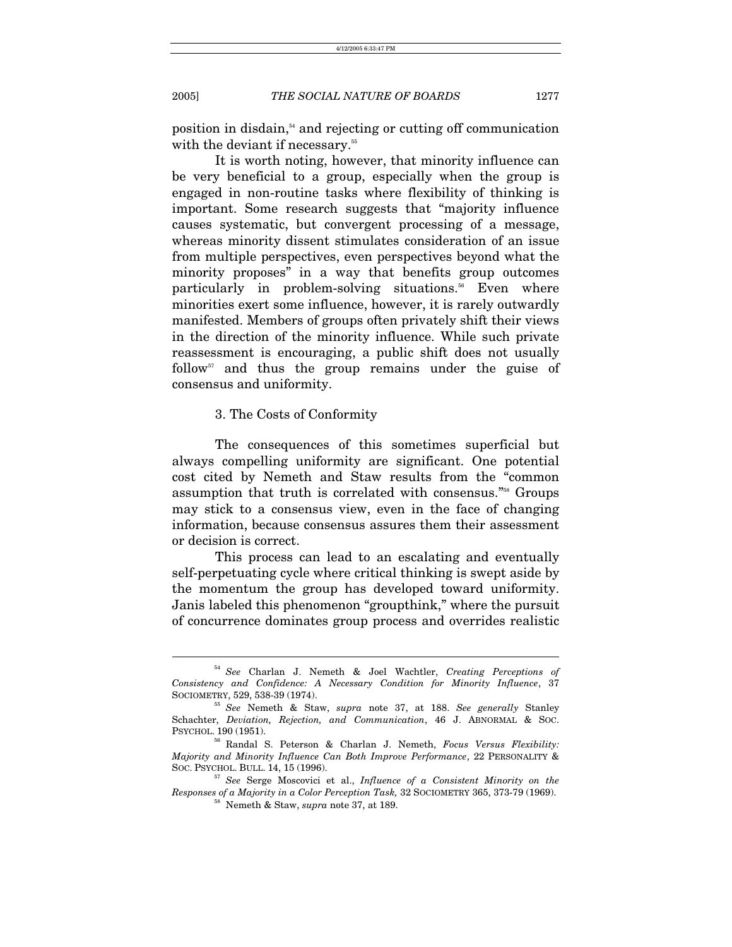$\overline{a}$ 

#### 2005] *THE SOCIAL NATURE OF BOARDS* 1277

position in disdain,[54](#page-19-0) and rejecting or cutting off communication with the deviant if necessary.<sup>[55](#page-19-1)</sup>

It is worth noting, however, that minority influence can be very beneficial to a group, especially when the group is engaged in non-routine tasks where flexibility of thinking is important. Some research suggests that "majority influence causes systematic, but convergent processing of a message, whereas minority dissent stimulates consideration of an issue from multiple perspectives, even perspectives beyond what the minority proposes" in a way that benefits group outcomes particularly in problem-solving situations.<sup>56</sup> Even where minorities exert some influence, however, it is rarely outwardly manifested. Members of groups often privately shift their views in the direction of the minority influence. While such private reassessment is encouraging, a public shift does not usually  $follow^{57}$  and thus the group remains under the guise of consensus and uniformity.

# 3. The Costs of Conformity

The consequences of this sometimes superficial but always compelling uniformity are significant. One potential cost cited by Nemeth and Staw results from the "common assumption that truth is correlated with consensus.["58](#page-19-4) Groups may stick to a consensus view, even in the face of changing information, because consensus assures them their assessment or decision is correct.

This process can lead to an escalating and eventually self-perpetuating cycle where critical thinking is swept aside by the momentum the group has developed toward uniformity. Janis labeled this phenomenon "groupthink," where the pursuit of concurrence dominates group process and overrides realistic

<span id="page-19-0"></span><sup>54</sup> *See* Charlan J. Nemeth & Joel Wachtler, *Creating Perceptions of Consistency and Confidence: A Necessary Condition for Minority Influence*, 37 SOCIOMETRY, 529, 538-39 (1974). 55 *See* Nemeth & Staw, *supra* note 37, at 188. *See generally* Stanley

<span id="page-19-1"></span>Schachter, *Deviation, Rejection, and Communication*, 46 J. ABNORMAL & SOC. PSYCHOL. 190 (1951).

<span id="page-19-2"></span><sup>56</sup> Randal S. Peterson & Charlan J. Nemeth, *Focus Versus Flexibility: Majority and Minority Influence Can Both Improve Performance*, 22 PERSONALITY &

<sup>&</sup>lt;sup>57</sup> See Serge Moscovici et al., *Influence of a Consistent Minority on the Responses of a Majority in a Color Perception Task,* 32 SOCIOMETRY 365, 373-79 (1969). 58 Nemeth & Staw, *supra* note 37, at 189.

<span id="page-19-4"></span><span id="page-19-3"></span>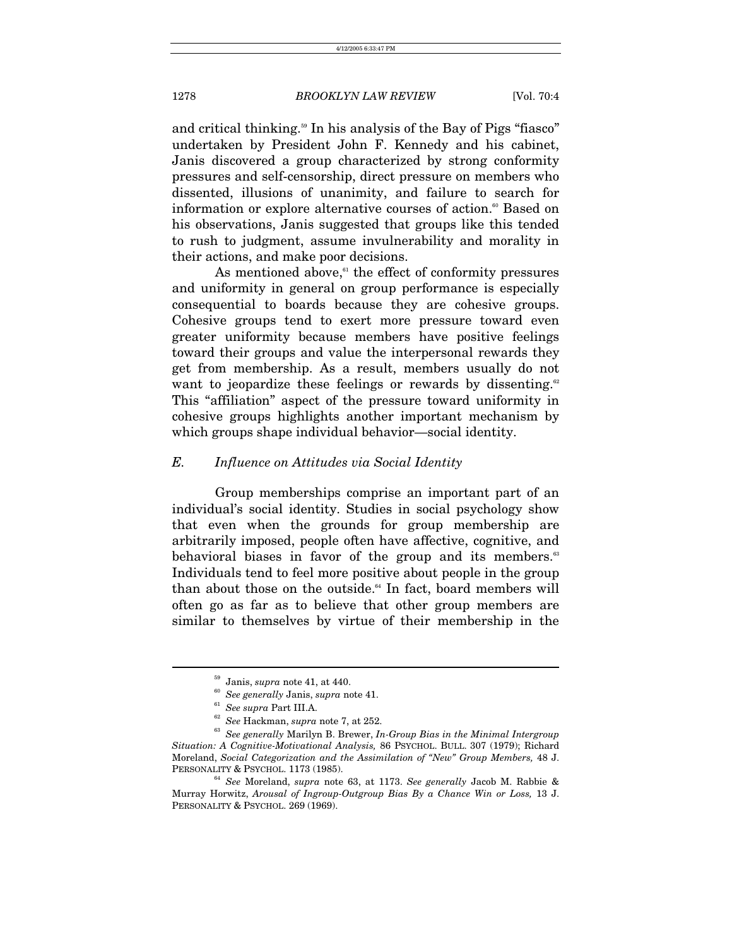and critical thinking.<sup>59</sup> In his analysis of the Bay of Pigs "fiasco" undertaken by President John F. Kennedy and his cabinet, Janis discovered a group characterized by strong conformity pressures and self-censorship, direct pressure on members who dissented, illusions of unanimity, and failure to search for information or explore alternative courses of action.<sup>60</sup> Based on his observations, Janis suggested that groups like this tended to rush to judgment, assume invulnerability and morality in their actions, and make poor decisions.

As mentioned above, $61$  the effect of conformity pressures and uniformity in general on group performance is especially consequential to boards because they are cohesive groups. Cohesive groups tend to exert more pressure toward even greater uniformity because members have positive feelings toward their groups and value the interpersonal rewards they get from membership. As a result, members usually do not want to jeopardize these feelings or rewards by dissenting.<sup>62</sup> This "affiliation" aspect of the pressure toward uniformity in cohesive groups highlights another important mechanism by which groups shape individual behavior—social identity.

# *E. Influence on Attitudes via Social Identity*

Group memberships comprise an important part of an individual's social identity. Studies in social psychology show that even when the grounds for group membership are arbitrarily imposed, people often have affective, cognitive, and behavioral biases in favor of the group and its members.<sup>[63](#page-20-4)</sup> Individuals tend to feel more positive about people in the group than about those on the outside.<sup>64</sup> In fact, board members will often go as far as to believe that other group members are similar to themselves by virtue of their membership in the

<span id="page-20-0"></span>

<span id="page-20-1"></span>

<span id="page-20-2"></span>

<span id="page-20-4"></span><span id="page-20-3"></span>

<sup>&</sup>lt;sup>59</sup> Janis, *supra* note 41, at 440.<br><sup>60</sup> See generally Janis, *supra* note 41.<br><sup>61</sup> See supra Part III.A.<br><sup>62</sup> See Hackman, *supra* note 7, at 252.<br><sup>63</sup> See generally Marilyn B. Brewer, *In-Group Bias in the Minimal Inte Situation: A Cognitive-Motivational Analysis,* 86 PSYCHOL. BULL. 307 (1979); Richard Moreland, *Social Categorization and the Assimilation of "New" Group Members,* 48 J. PERSONALITY & PSYCHOL. 1173 (1985). 64 *See* Moreland, *supra* note 63, at 1173. *See generally* Jacob M. Rabbie &

<span id="page-20-5"></span>Murray Horwitz, *Arousal of Ingroup-Outgroup Bias By a Chance Win or Loss,* 13 J. PERSONALITY & PSYCHOL. 269 (1969).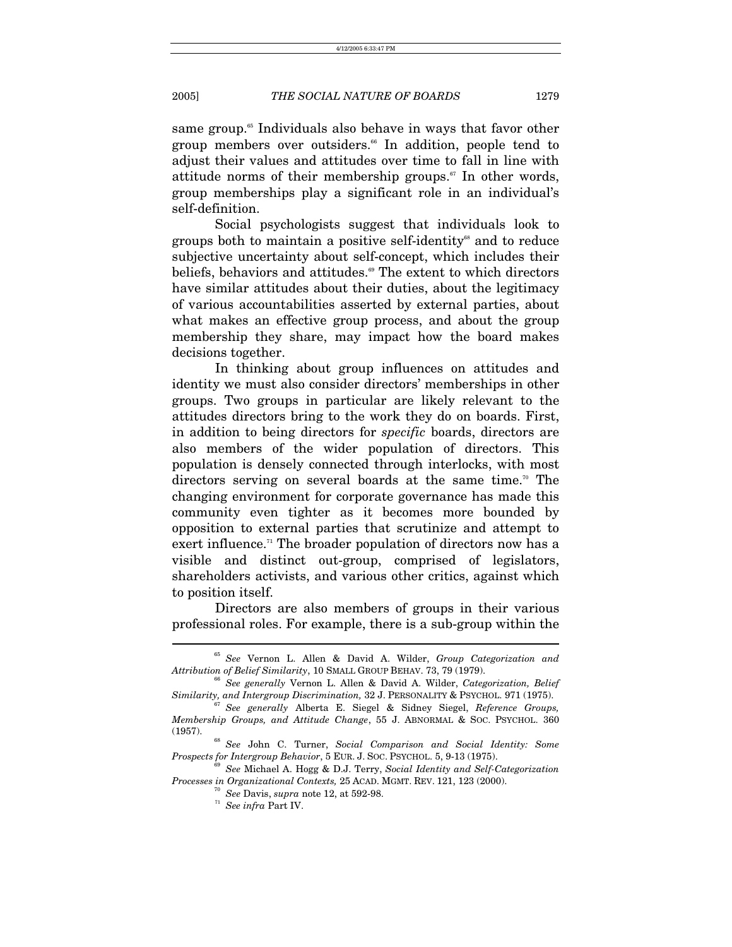same group.<sup>65</sup> Individuals also behave in ways that favor other group members over outsiders.<sup>66</sup> In addition, people tend to adjust their values and attitudes over time to fall in line with attitude norms of their membership groups. $\mathbf{F}$  In other words, group memberships play a significant role in an individual's self-definition.

Social psychologists suggest that individuals look to groups both to maintain a positive self-identity<sup>68</sup> and to reduce subjective uncertainty about self-concept, which includes their beliefs, behaviors and attitudes.<sup>69</sup> The extent to which directors have similar attitudes about their duties, about the legitimacy of various accountabilities asserted by external parties, about what makes an effective group process, and about the group membership they share, may impact how the board makes decisions together.

In thinking about group influences on attitudes and identity we must also consider directors' memberships in other groups. Two groups in particular are likely relevant to the attitudes directors bring to the work they do on boards. First, in addition to being directors for *specific* boards, directors are also members of the wider population of directors. This population is densely connected through interlocks, with most directors serving on several boards at the same time.<sup>70</sup> The changing environment for corporate governance has made this community even tighter as it becomes more bounded by opposition to external parties that scrutinize and attempt to exert influence.<sup> $\pi$ </sup> The broader population of directors now has a visible and distinct out-group, comprised of legislators, shareholders activists, and various other critics, against which to position itself.

Directors are also members of groups in their various professional roles. For example, there is a sub-group within the

<span id="page-21-0"></span><sup>65</sup> *See* Vernon L. Allen & David A. Wilder, *Group Categorization and* 

<span id="page-21-1"></span><sup>&</sup>lt;sup>6</sup> See generally Vernon L. Allen & David A. Wilder, *Categorization, Belief Similarity, and Intergroup Discrimination,* 32 J. PERSONALITY & PSYCHOL. 971 (1975).<br><sup>67</sup> See generally Alberta E. Siegel & Sidney Siegel, *Reference Groups*,

<span id="page-21-2"></span>*Membership Groups, and Attitude Change*, 55 J. ABNORMAL & SOC. PSYCHOL. 360

<span id="page-21-3"></span><sup>(1957). 68</sup> *See* John C. Turner, *Social Comparison and Social Identity: Some Prospects for Intergroup Behavior*, 5 EUR. J. SOC. PSYCHOL. 5, 9-13 (1975).<br><sup>69</sup> *See* Michael A. Hogg & D.J. Terry, *Social Identity and Self-Categorization* 

*Processes in Organizational Contexts,*<sup>25</sup> ACAD. MGMT. REV. 121, 123 (2000). 70 *See* Davis, *supra* note 12, at 592-98. 71 *See infra* Part IV.

<span id="page-21-5"></span><span id="page-21-4"></span>

<span id="page-21-6"></span>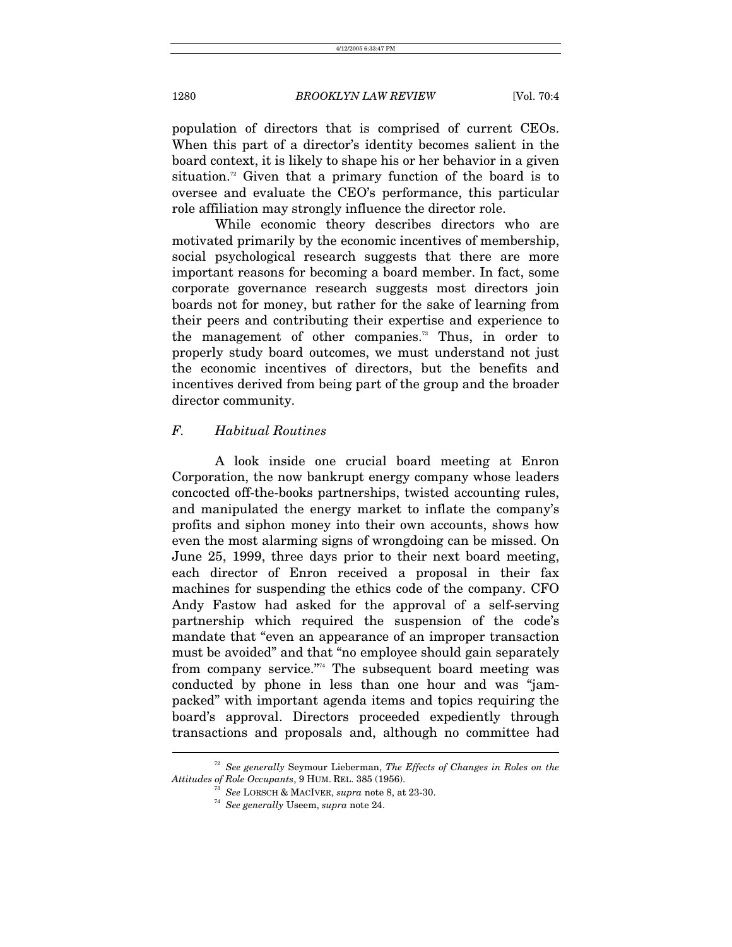population of directors that is comprised of current CEOs. When this part of a director's identity becomes salient in the board context, it is likely to shape his or her behavior in a given situation.<sup>72</sup> Given that a primary function of the board is to oversee and evaluate the CEO's performance, this particular role affiliation may strongly influence the director role.

While economic theory describes directors who are motivated primarily by the economic incentives of membership, social psychological research suggests that there are more important reasons for becoming a board member. In fact, some corporate governance research suggests most directors join boards not for money, but rather for the sake of learning from their peers and contributing their expertise and experience to the management of other companies[.73](#page-22-1) Thus, in order to properly study board outcomes, we must understand not just the economic incentives of directors, but the benefits and incentives derived from being part of the group and the broader director community.

# *F. Habitual Routines*

A look inside one crucial board meeting at Enron Corporation, the now bankrupt energy company whose leaders concocted off-the-books partnerships, twisted accounting rules, and manipulated the energy market to inflate the company's profits and siphon money into their own accounts, shows how even the most alarming signs of wrongdoing can be missed. On June 25, 1999, three days prior to their next board meeting, each director of Enron received a proposal in their fax machines for suspending the ethics code of the company. CFO Andy Fastow had asked for the approval of a self-serving partnership which required the suspension of the code's mandate that "even an appearance of an improper transaction must be avoided" and that "no employee should gain separately from company service.["74](#page-22-2) The subsequent board meeting was conducted by phone in less than one hour and was "jampacked" with important agenda items and topics requiring the board's approval. Directors proceeded expediently through transactions and proposals and, although no committee had

<sup>72</sup> *See generally* Seymour Lieberman, *The Effects of Changes in Roles on the Attitudes of Role Occupants*, 9 HUM. REL. 385 (1956). 73 *See* LORSCH & MACIVER, *supra* note 8, at 23-30. 74 *See generally* Useem, *supra* note 24.

<span id="page-22-1"></span><span id="page-22-0"></span>

<span id="page-22-2"></span>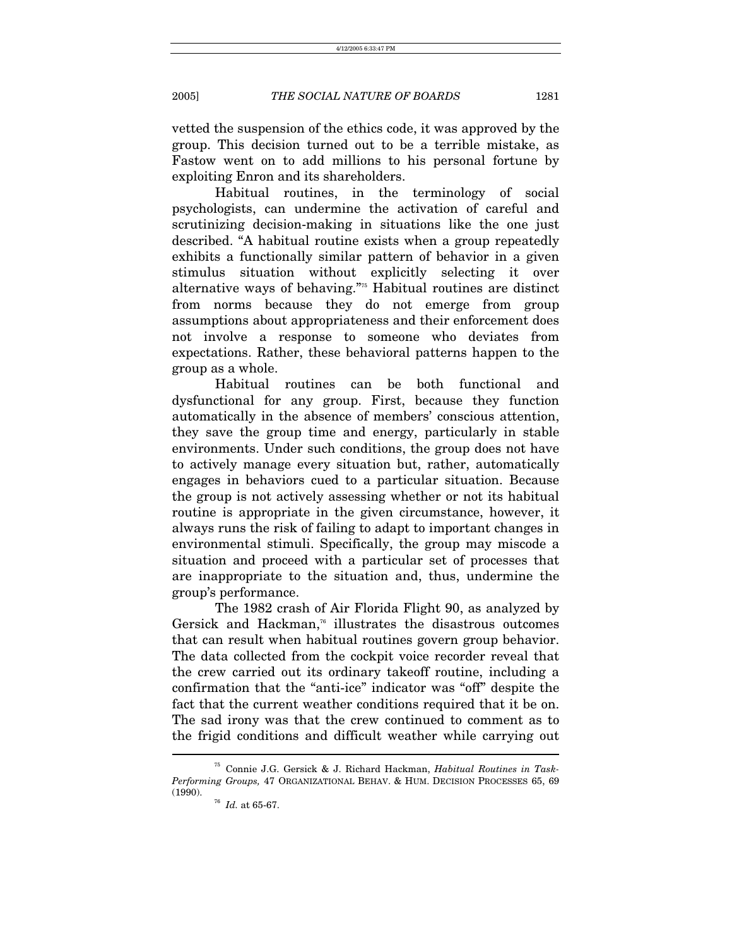vetted the suspension of the ethics code, it was approved by the group. This decision turned out to be a terrible mistake, as Fastow went on to add millions to his personal fortune by exploiting Enron and its shareholders.

Habitual routines, in the terminology of social psychologists, can undermine the activation of careful and scrutinizing decision-making in situations like the one just described. "A habitual routine exists when a group repeatedly exhibits a functionally similar pattern of behavior in a given stimulus situation without explicitly selecting it over alternative ways of behaving."[75](#page-23-0) Habitual routines are distinct from norms because they do not emerge from group assumptions about appropriateness and their enforcement does not involve a response to someone who deviates from expectations. Rather, these behavioral patterns happen to the group as a whole.

Habitual routines can be both functional and dysfunctional for any group. First, because they function automatically in the absence of members' conscious attention, they save the group time and energy, particularly in stable environments. Under such conditions, the group does not have to actively manage every situation but, rather, automatically engages in behaviors cued to a particular situation. Because the group is not actively assessing whether or not its habitual routine is appropriate in the given circumstance, however, it always runs the risk of failing to adapt to important changes in environmental stimuli. Specifically, the group may miscode a situation and proceed with a particular set of processes that are inappropriate to the situation and, thus, undermine the group's performance.

The 1982 crash of Air Florida Flight 90, as analyzed by Gersick and Hackman, $\pi$  illustrates the disastrous outcomes that can result when habitual routines govern group behavior. The data collected from the cockpit voice recorder reveal that the crew carried out its ordinary takeoff routine, including a confirmation that the "anti-ice" indicator was "off" despite the fact that the current weather conditions required that it be on. The sad irony was that the crew continued to comment as to the frigid conditions and difficult weather while carrying out  $\overline{a}$ 

<sup>75</sup> Connie J.G. Gersick & J. Richard Hackman, *Habitual Routines in Task-Performing Groups,* 47 ORGANIZATIONAL BEHAV. & HUM. DECISION PROCESSES 65, 69 (1990).  $$^{76}$   $\emph{Id.}$  at 65-67.

<span id="page-23-1"></span><span id="page-23-0"></span>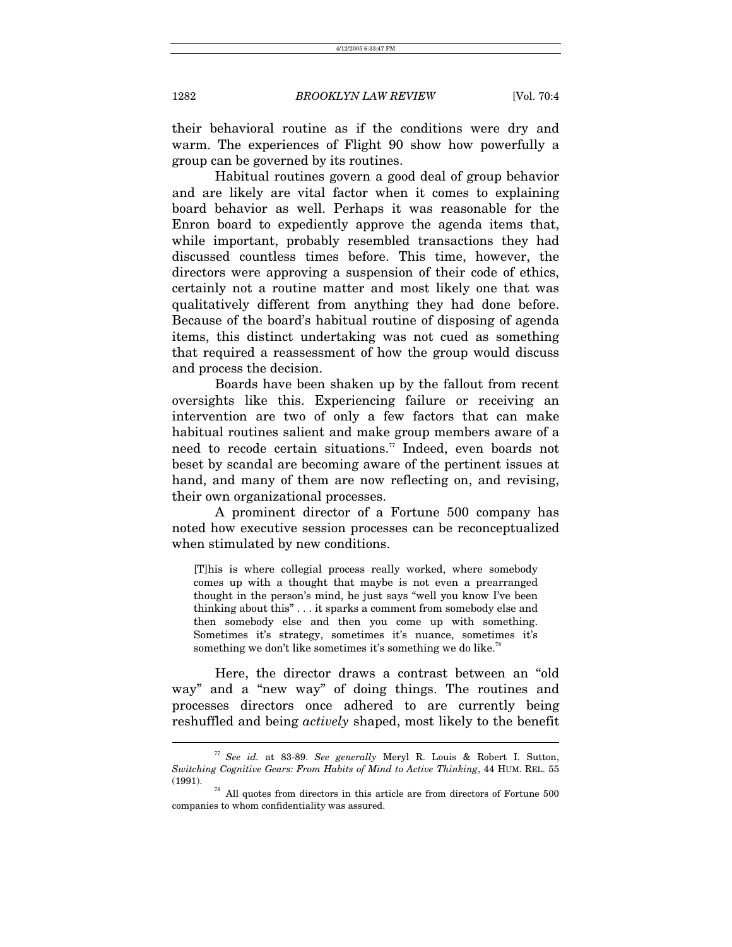their behavioral routine as if the conditions were dry and warm. The experiences of Flight 90 show how powerfully a group can be governed by its routines.

Habitual routines govern a good deal of group behavior and are likely are vital factor when it comes to explaining board behavior as well. Perhaps it was reasonable for the Enron board to expediently approve the agenda items that, while important, probably resembled transactions they had discussed countless times before. This time, however, the directors were approving a suspension of their code of ethics, certainly not a routine matter and most likely one that was qualitatively different from anything they had done before. Because of the board's habitual routine of disposing of agenda items, this distinct undertaking was not cued as something that required a reassessment of how the group would discuss and process the decision.

Boards have been shaken up by the fallout from recent oversights like this. Experiencing failure or receiving an intervention are two of only a few factors that can make habitual routines salient and make group members aware of a need to recode certain situations." Indeed, even boards not beset by scandal are becoming aware of the pertinent issues at hand, and many of them are now reflecting on, and revising, their own organizational processes.

A prominent director of a Fortune 500 company has noted how executive session processes can be reconceptualized when stimulated by new conditions.

[T]his is where collegial process really worked, where somebody comes up with a thought that maybe is not even a prearranged thought in the person's mind, he just says "well you know I've been thinking about this" . . . it sparks a comment from somebody else and then somebody else and then you come up with something. Sometimes it's strategy, sometimes it's nuance, sometimes it's something we don't like sometimes it's something we do like.<sup>78</sup>

Here, the director draws a contrast between an "old way" and a "new way" of doing things. The routines and processes directors once adhered to are currently being reshuffled and being *actively* shaped, most likely to the benefit

<span id="page-24-0"></span><sup>77</sup> *See id.* at 83-89. *See generally* Meryl R. Louis & Robert I. Sutton, *Switching Cognitive Gears: From Habits of Mind to Active Thinking*, 44 HUM. REL. 55 (1991).  $\frac{78}{78}$  All quotes from directors in this article are from directors of Fortune 500

<span id="page-24-1"></span>companies to whom confidentiality was assured.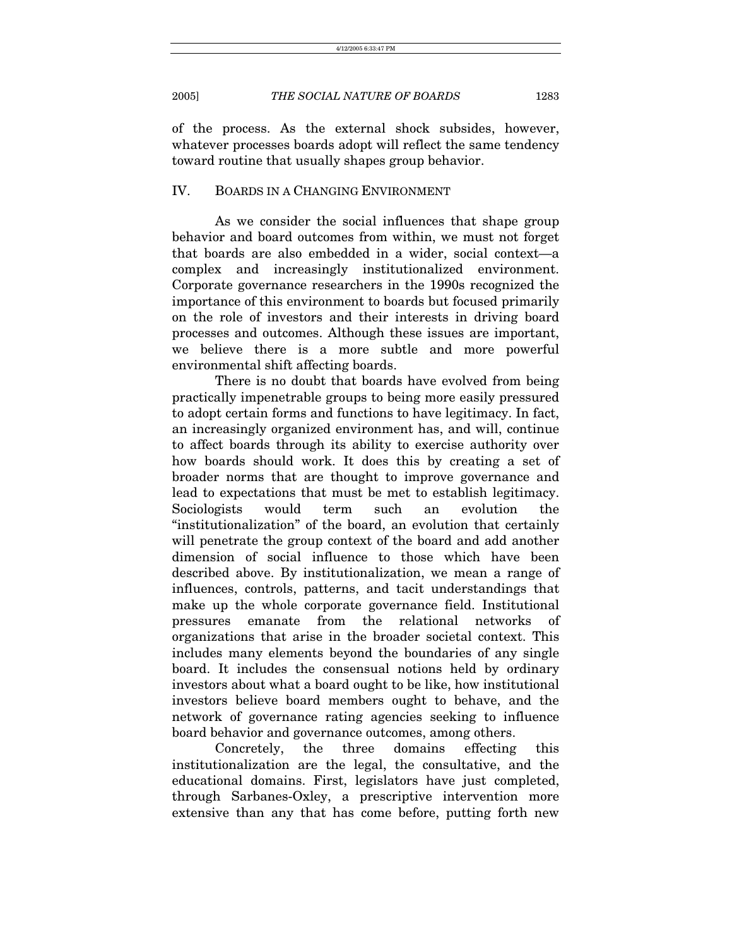of the process. As the external shock subsides, however, whatever processes boards adopt will reflect the same tendency toward routine that usually shapes group behavior.

# IV. BOARDS IN A CHANGING ENVIRONMENT

As we consider the social influences that shape group behavior and board outcomes from within, we must not forget that boards are also embedded in a wider, social context—a complex and increasingly institutionalized environment. Corporate governance researchers in the 1990s recognized the importance of this environment to boards but focused primarily on the role of investors and their interests in driving board processes and outcomes. Although these issues are important, we believe there is a more subtle and more powerful environmental shift affecting boards.

There is no doubt that boards have evolved from being practically impenetrable groups to being more easily pressured to adopt certain forms and functions to have legitimacy. In fact, an increasingly organized environment has, and will, continue to affect boards through its ability to exercise authority over how boards should work. It does this by creating a set of broader norms that are thought to improve governance and lead to expectations that must be met to establish legitimacy. Sociologists would term such an evolution the "institutionalization" of the board, an evolution that certainly will penetrate the group context of the board and add another dimension of social influence to those which have been described above. By institutionalization, we mean a range of influences, controls, patterns, and tacit understandings that make up the whole corporate governance field. Institutional pressures emanate from the relational networks of organizations that arise in the broader societal context. This includes many elements beyond the boundaries of any single board. It includes the consensual notions held by ordinary investors about what a board ought to be like, how institutional investors believe board members ought to behave, and the network of governance rating agencies seeking to influence board behavior and governance outcomes, among others.

Concretely, the three domains effecting this institutionalization are the legal, the consultative, and the educational domains. First, legislators have just completed, through Sarbanes-Oxley, a prescriptive intervention more extensive than any that has come before, putting forth new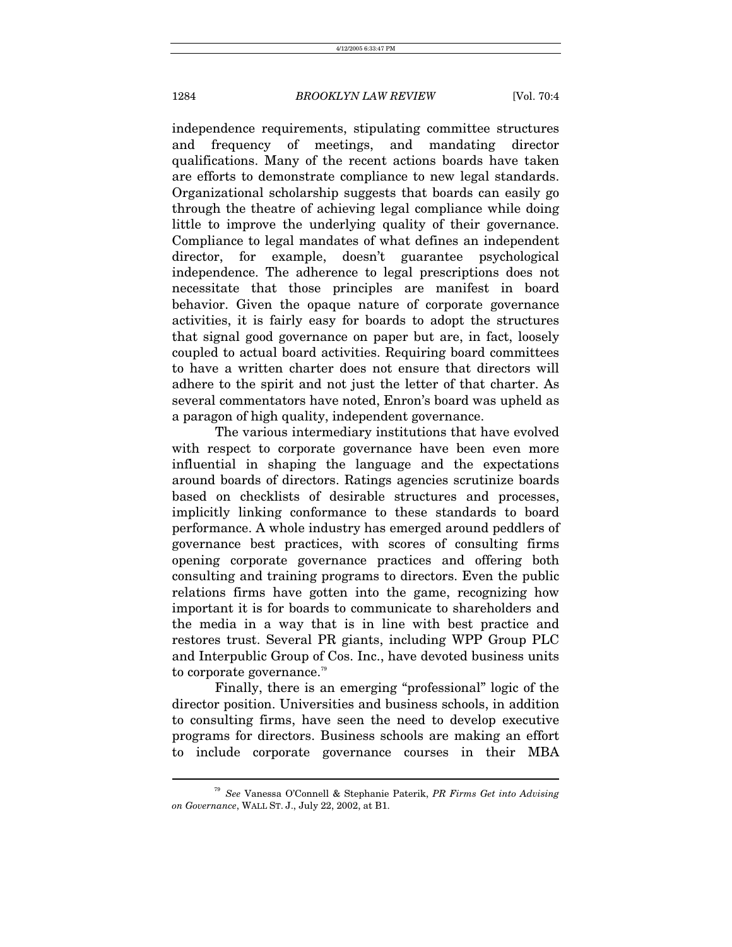independence requirements, stipulating committee structures and frequency of meetings, and mandating director qualifications. Many of the recent actions boards have taken are efforts to demonstrate compliance to new legal standards. Organizational scholarship suggests that boards can easily go through the theatre of achieving legal compliance while doing little to improve the underlying quality of their governance. Compliance to legal mandates of what defines an independent director, for example, doesn't guarantee psychological independence. The adherence to legal prescriptions does not necessitate that those principles are manifest in board behavior. Given the opaque nature of corporate governance activities, it is fairly easy for boards to adopt the structures that signal good governance on paper but are, in fact, loosely coupled to actual board activities. Requiring board committees to have a written charter does not ensure that directors will adhere to the spirit and not just the letter of that charter. As several commentators have noted, Enron's board was upheld as a paragon of high quality, independent governance.

The various intermediary institutions that have evolved with respect to corporate governance have been even more influential in shaping the language and the expectations around boards of directors. Ratings agencies scrutinize boards based on checklists of desirable structures and processes, implicitly linking conformance to these standards to board performance. A whole industry has emerged around peddlers of governance best practices, with scores of consulting firms opening corporate governance practices and offering both consulting and training programs to directors. Even the public relations firms have gotten into the game, recognizing how important it is for boards to communicate to shareholders and the media in a way that is in line with best practice and restores trust. Several PR giants, including WPP Group PLC and Interpublic Group of Cos. Inc., have devoted business units to corporate governance.<sup>[79](#page-26-0)</sup>

Finally, there is an emerging "professional" logic of the director position. Universities and business schools, in addition to consulting firms, have seen the need to develop executive programs for directors. Business schools are making an effort to include corporate governance courses in their MBA

<span id="page-26-0"></span><sup>79</sup> *See* Vanessa O'Connell & Stephanie Paterik, *PR Firms Get into Advising on Governance*, WALL ST. J., July 22, 2002, at B1.